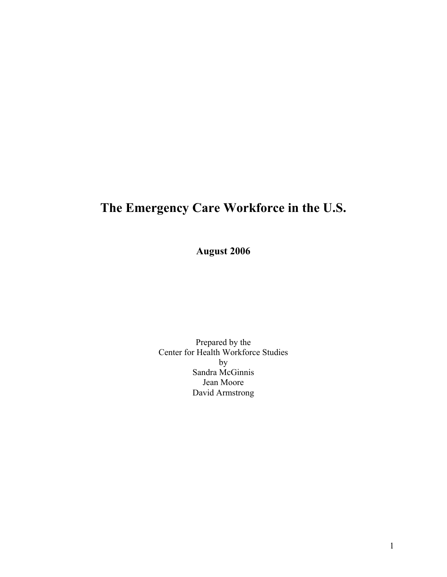## **The Emergency Care Workforce in the U.S.**

**August 2006** 

Prepared by the Center for Health Workforce Studies by Sandra McGinnis Jean Moore David Armstrong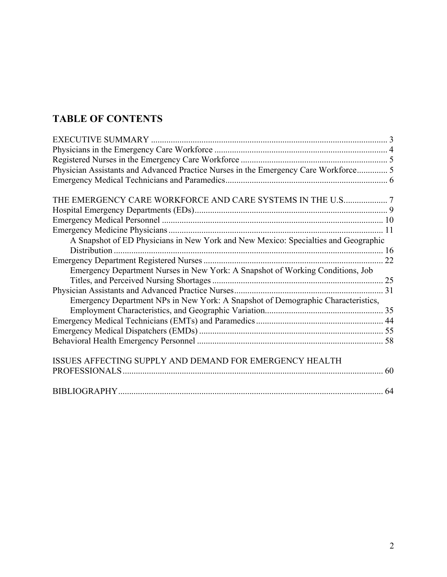## **TABLE OF CONTENTS**

| Physician Assistants and Advanced Practice Nurses in the Emergency Care Workforce 5 |    |
|-------------------------------------------------------------------------------------|----|
|                                                                                     |    |
| THE EMERGENCY CARE WORKFORCE AND CARE SYSTEMS IN THE U.S7                           |    |
|                                                                                     |    |
|                                                                                     |    |
|                                                                                     |    |
| A Snapshot of ED Physicians in New York and New Mexico: Specialties and Geographic  |    |
|                                                                                     |    |
|                                                                                     |    |
| Emergency Department Nurses in New York: A Snapshot of Working Conditions, Job      |    |
|                                                                                     |    |
|                                                                                     |    |
| Emergency Department NPs in New York: A Snapshot of Demographic Characteristics,    |    |
|                                                                                     |    |
|                                                                                     |    |
|                                                                                     |    |
|                                                                                     |    |
| ISSUES AFFECTING SUPPLY AND DEMAND FOR EMERGENCY HEALTH                             |    |
|                                                                                     | 60 |
|                                                                                     | 64 |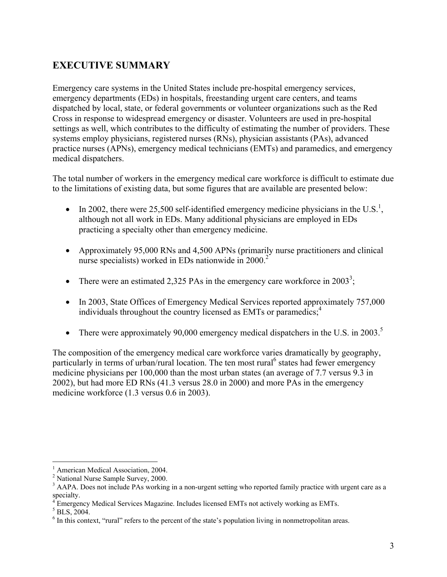## **EXECUTIVE SUMMARY**

Emergency care systems in the United States include pre-hospital emergency services, emergency departments (EDs) in hospitals, freestanding urgent care centers, and teams dispatched by local, state, or federal governments or volunteer organizations such as the Red Cross in response to widespread emergency or disaster. Volunteers are used in pre-hospital settings as well, which contributes to the difficulty of estimating the number of providers. These systems employ physicians, registered nurses (RNs), physician assistants (PAs), advanced practice nurses (APNs), emergency medical technicians (EMTs) and paramedics, and emergency medical dispatchers.

The total number of workers in the emergency medical care workforce is difficult to estimate due to the limitations of existing data, but some figures that are available are presented below:

- In 2002, there were 25,500 self-identified emergency medicine physicians in the U.S.<sup>1</sup>, although not all work in EDs. Many additional physicians are employed in EDs practicing a specialty other than emergency medicine.
- Approximately 95,000 RNs and 4,500 APNs (primarily nurse practitioners and clinical nurse specialists) worked in EDs nationwide in  $2000<sup>2</sup>$
- There were an estimated 2,325 PAs in the emergency care workforce in  $2003^3$ ;
- In 2003, State Offices of Emergency Medical Services reported approximately 757,000 individuals throughout the country licensed as EMTs or paramedics;<sup>4</sup>
- There were approximately 90,000 emergency medical dispatchers in the U.S. in 2003.<sup>5</sup>

The composition of the emergency medical care workforce varies dramatically by geography, particularly in terms of urban/rural location. The ten most rural<sup>6</sup> states had fewer emergency medicine physicians per 100,000 than the most urban states (an average of 7.7 versus 9.3 in 2002), but had more ED RNs (41.3 versus 28.0 in 2000) and more PAs in the emergency medicine workforce (1.3 versus 0.6 in 2003).

 $\overline{a}$ 

<sup>&</sup>lt;sup>1</sup> American Medical Association, 2004.

<sup>&</sup>lt;sup>2</sup> National Nurse Sample Survey, 2000.

<sup>&</sup>lt;sup>3</sup> AAPA. Does not include PAs working in a non-urgent setting who reported family practice with urgent care as a

specialty.<br><sup>4</sup> Emergency Medical Services Magazine. Includes licensed EMTs not actively working as EMTs.<br><sup>5</sup> PLS 2004

 $<sup>5</sup>$  BLS, 2004.</sup>

 $6$  In this context, "rural" refers to the percent of the state's population living in nonmetropolitan areas.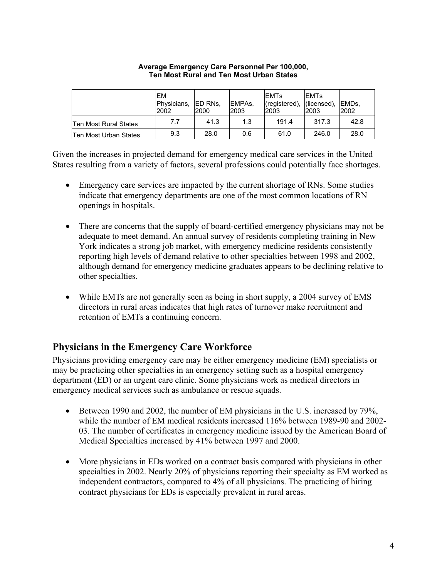|                       | lΕM<br>Physicians,<br>2002 | <b>IED RNs.</b><br>2000 | EMPA <sub>s</sub> .<br>2003 | <b>EMTs</b><br>(registered), (licensed),<br>2003 | <b>IEMTs</b><br><b>2003</b> | EMDs.<br>2002 |
|-----------------------|----------------------------|-------------------------|-----------------------------|--------------------------------------------------|-----------------------------|---------------|
| Ten Most Rural States | 7.7                        | 41.3                    | 1.3                         | 191.4                                            | 317.3                       | 42.8          |
| Ten Most Urban States | 9.3                        | 28.0                    | 0.6                         | 61.0                                             | 246.0                       | 28.0          |

#### **Average Emergency Care Personnel Per 100,000, Ten Most Rural and Ten Most Urban States**

Given the increases in projected demand for emergency medical care services in the United States resulting from a variety of factors, several professions could potentially face shortages.

- Emergency care services are impacted by the current shortage of RNs. Some studies indicate that emergency departments are one of the most common locations of RN openings in hospitals.
- There are concerns that the supply of board-certified emergency physicians may not be adequate to meet demand. An annual survey of residents completing training in New York indicates a strong job market, with emergency medicine residents consistently reporting high levels of demand relative to other specialties between 1998 and 2002, although demand for emergency medicine graduates appears to be declining relative to other specialties.
- While EMTs are not generally seen as being in short supply, a 2004 survey of EMS directors in rural areas indicates that high rates of turnover make recruitment and retention of EMTs a continuing concern.

#### **Physicians in the Emergency Care Workforce**

Physicians providing emergency care may be either emergency medicine (EM) specialists or may be practicing other specialties in an emergency setting such as a hospital emergency department (ED) or an urgent care clinic. Some physicians work as medical directors in emergency medical services such as ambulance or rescue squads.

- Between 1990 and 2002, the number of EM physicians in the U.S. increased by 79%, while the number of EM medical residents increased 116% between 1989-90 and 2002- 03. The number of certificates in emergency medicine issued by the American Board of Medical Specialties increased by 41% between 1997 and 2000.
- More physicians in EDs worked on a contract basis compared with physicians in other specialties in 2002. Nearly 20% of physicians reporting their specialty as EM worked as independent contractors, compared to 4% of all physicians. The practicing of hiring contract physicians for EDs is especially prevalent in rural areas.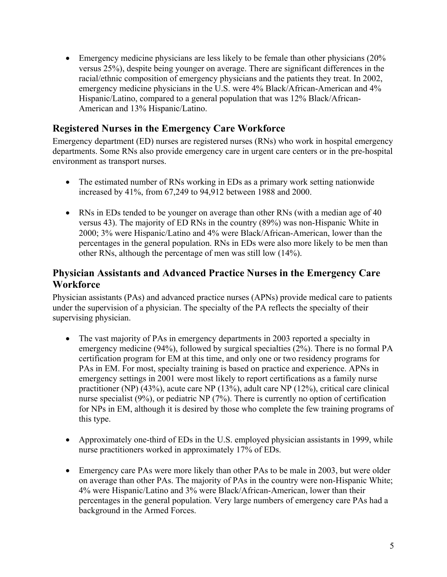• Emergency medicine physicians are less likely to be female than other physicians (20%) versus 25%), despite being younger on average. There are significant differences in the racial/ethnic composition of emergency physicians and the patients they treat. In 2002, emergency medicine physicians in the U.S. were 4% Black/African-American and 4% Hispanic/Latino, compared to a general population that was 12% Black/African-American and 13% Hispanic/Latino.

#### **Registered Nurses in the Emergency Care Workforce**

Emergency department (ED) nurses are registered nurses (RNs) who work in hospital emergency departments. Some RNs also provide emergency care in urgent care centers or in the pre-hospital environment as transport nurses.

- The estimated number of RNs working in EDs as a primary work setting nationwide increased by 41%, from 67,249 to 94,912 between 1988 and 2000.
- RNs in EDs tended to be younger on average than other RNs (with a median age of 40 versus 43). The majority of ED RNs in the country (89%) was non-Hispanic White in 2000; 3% were Hispanic/Latino and 4% were Black/African-American, lower than the percentages in the general population. RNs in EDs were also more likely to be men than other RNs, although the percentage of men was still low (14%).

#### **Physician Assistants and Advanced Practice Nurses in the Emergency Care Workforce**

Physician assistants (PAs) and advanced practice nurses (APNs) provide medical care to patients under the supervision of a physician. The specialty of the PA reflects the specialty of their supervising physician.

- The vast majority of PAs in emergency departments in 2003 reported a specialty in emergency medicine (94%), followed by surgical specialties (2%). There is no formal PA certification program for EM at this time, and only one or two residency programs for PAs in EM. For most, specialty training is based on practice and experience. APNs in emergency settings in 2001 were most likely to report certifications as a family nurse practitioner (NP) (43%), acute care NP (13%), adult care NP (12%), critical care clinical nurse specialist (9%), or pediatric NP (7%). There is currently no option of certification for NPs in EM, although it is desired by those who complete the few training programs of this type.
- Approximately one-third of EDs in the U.S. employed physician assistants in 1999, while nurse practitioners worked in approximately 17% of EDs.
- Emergency care PAs were more likely than other PAs to be male in 2003, but were older on average than other PAs. The majority of PAs in the country were non-Hispanic White; 4% were Hispanic/Latino and 3% were Black/African-American, lower than their percentages in the general population. Very large numbers of emergency care PAs had a background in the Armed Forces.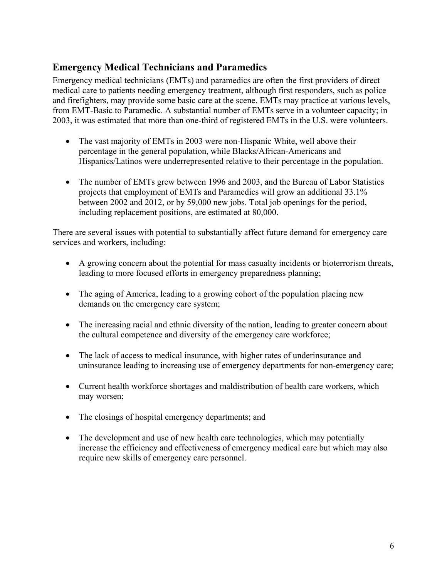#### **Emergency Medical Technicians and Paramedics**

Emergency medical technicians (EMTs) and paramedics are often the first providers of direct medical care to patients needing emergency treatment, although first responders, such as police and firefighters, may provide some basic care at the scene. EMTs may practice at various levels, from EMT-Basic to Paramedic. A substantial number of EMTs serve in a volunteer capacity; in 2003, it was estimated that more than one-third of registered EMTs in the U.S. were volunteers.

- The vast majority of EMTs in 2003 were non-Hispanic White, well above their percentage in the general population, while Blacks/African-Americans and Hispanics/Latinos were underrepresented relative to their percentage in the population.
- The number of EMTs grew between 1996 and 2003, and the Bureau of Labor Statistics projects that employment of EMTs and Paramedics will grow an additional 33.1% between 2002 and 2012, or by 59,000 new jobs. Total job openings for the period, including replacement positions, are estimated at 80,000.

There are several issues with potential to substantially affect future demand for emergency care services and workers, including:

- A growing concern about the potential for mass casualty incidents or bioterrorism threats, leading to more focused efforts in emergency preparedness planning;
- The aging of America, leading to a growing cohort of the population placing new demands on the emergency care system;
- The increasing racial and ethnic diversity of the nation, leading to greater concern about the cultural competence and diversity of the emergency care workforce;
- The lack of access to medical insurance, with higher rates of underinsurance and uninsurance leading to increasing use of emergency departments for non-emergency care;
- Current health workforce shortages and maldistribution of health care workers, which may worsen;
- The closings of hospital emergency departments; and
- The development and use of new health care technologies, which may potentially increase the efficiency and effectiveness of emergency medical care but which may also require new skills of emergency care personnel.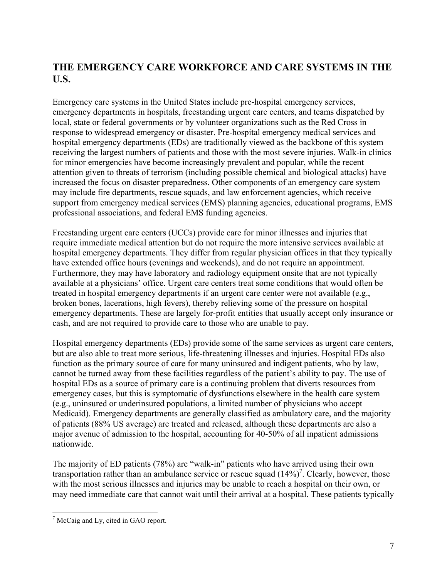## **THE EMERGENCY CARE WORKFORCE AND CARE SYSTEMS IN THE U.S.**

Emergency care systems in the United States include pre-hospital emergency services, emergency departments in hospitals, freestanding urgent care centers, and teams dispatched by local, state or federal governments or by volunteer organizations such as the Red Cross in response to widespread emergency or disaster. Pre-hospital emergency medical services and hospital emergency departments (EDs) are traditionally viewed as the backbone of this system – receiving the largest numbers of patients and those with the most severe injuries. Walk-in clinics for minor emergencies have become increasingly prevalent and popular, while the recent attention given to threats of terrorism (including possible chemical and biological attacks) have increased the focus on disaster preparedness. Other components of an emergency care system may include fire departments, rescue squads, and law enforcement agencies, which receive support from emergency medical services (EMS) planning agencies, educational programs, EMS professional associations, and federal EMS funding agencies.

Freestanding urgent care centers (UCCs) provide care for minor illnesses and injuries that require immediate medical attention but do not require the more intensive services available at hospital emergency departments. They differ from regular physician offices in that they typically have extended office hours (evenings and weekends), and do not require an appointment. Furthermore, they may have laboratory and radiology equipment onsite that are not typically available at a physicians' office. Urgent care centers treat some conditions that would often be treated in hospital emergency departments if an urgent care center were not available (e.g., broken bones, lacerations, high fevers), thereby relieving some of the pressure on hospital emergency departments. These are largely for-profit entities that usually accept only insurance or cash, and are not required to provide care to those who are unable to pay.

Hospital emergency departments (EDs) provide some of the same services as urgent care centers, but are also able to treat more serious, life-threatening illnesses and injuries. Hospital EDs also function as the primary source of care for many uninsured and indigent patients, who by law, cannot be turned away from these facilities regardless of the patient's ability to pay. The use of hospital EDs as a source of primary care is a continuing problem that diverts resources from emergency cases, but this is symptomatic of dysfunctions elsewhere in the health care system (e.g., uninsured or underinsured populations, a limited number of physicians who accept Medicaid). Emergency departments are generally classified as ambulatory care, and the majority of patients (88% US average) are treated and released, although these departments are also a major avenue of admission to the hospital, accounting for 40-50% of all inpatient admissions nationwide.

The majority of ED patients (78%) are "walk-in" patients who have arrived using their own transportation rather than an ambulance service or rescue squad  $(14\%)^7$ . Clearly, however, those with the most serious illnesses and injuries may be unable to reach a hospital on their own, or may need immediate care that cannot wait until their arrival at a hospital. These patients typically

<sup>&</sup>lt;sup>7</sup> McCaig and Ly, cited in GAO report.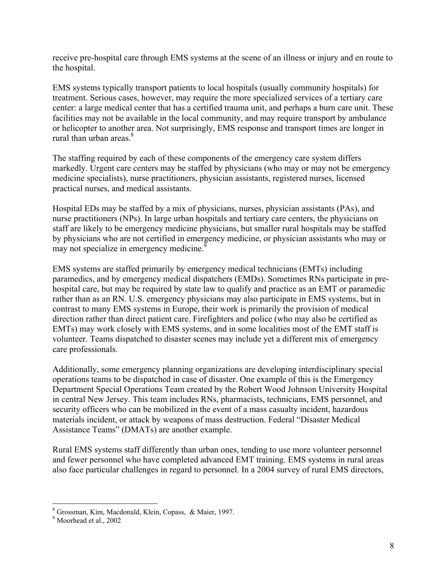receive pre-hospital care through EMS systems at the scene of an illness or injury and en route to the hospital.

EMS systems typically transport patients to local hospitals (usually community hospitals) for treatment. Serious cases, however, may require the more specialized services of a tertiary care center: a large medical center that has a certified trauma unit, and perhaps a burn care unit. These facilities may not be available in the local community, and may require transport by ambulance or helicopter to another area. Not surprisingly, EMS response and transport times are longer in rural than urban areas. $8<sup>8</sup>$ 

The staffing required by each of these components of the emergency care system differs markedly. Urgent care centers may be staffed by physicians (who may or may not be emergency medicine specialists), nurse practitioners, physician assistants, registered nurses, licensed practical nurses, and medical assistants.

Hospital EDs may be staffed by a mix of physicians, nurses, physician assistants (PAs), and nurse practitioners (NPs). In large urban hospitals and tertiary care centers, the physicians on staff are likely to be emergency medicine physicians, but smaller rural hospitals may be staffed by physicians who are not certified in emergency medicine, or physician assistants who may or may not specialize in emergency medicine.<sup> $\frac{9}{2}$ </sup>

EMS systems are staffed primarily by emergency medical technicians (EMTs) including paramedics, and by emergency medical dispatchers (EMDs). Sometimes RNs participate in prehospital care, but may be required by state law to qualify and practice as an EMT or paramedic rather than as an RN. U.S. emergency physicians may also participate in EMS systems, but in contrast to many EMS systems in Europe, their work is primarily the provision of medical direction rather than direct patient care. Firefighters and police (who may also be certified as EMTs) may work closely with EMS systems, and in some localities most of the EMT staff is volunteer. Teams dispatched to disaster scenes may include yet a different mix of emergency care professionals.

Additionally, some emergency planning organizations are developing interdisciplinary special operations teams to be dispatched in case of disaster. One example of this is the Emergency Department Special Operations Team created by the Robert Wood Johnson University Hospital in central New Jersey. This team includes RNs, pharmacists, technicians, EMS personnel, and security officers who can be mobilized in the event of a mass casualty incident, hazardous materials incident, or attack by weapons of mass destruction. Federal "Disaster Medical Assistance Teams" (DMATs) are another example.

Rural EMS systems staff differently than urban ones, tending to use more volunteer personnel and fewer personnel who have completed advanced EMT training. EMS systems in rural areas also face particular challenges in regard to personnel. In a 2004 survey of rural EMS directors,

 8 Grossman, Kim, Macdonald, Klein, Copass, & Maier, 1997.

<sup>9</sup> Moorhead et al., 2002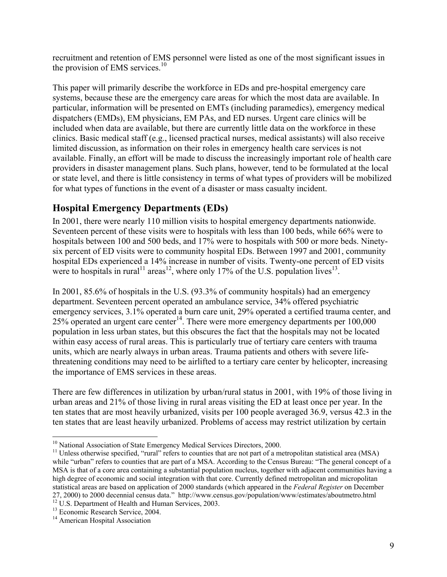recruitment and retention of EMS personnel were listed as one of the most significant issues in the provision of EMS services.<sup>10</sup>

This paper will primarily describe the workforce in EDs and pre-hospital emergency care systems, because these are the emergency care areas for which the most data are available. In particular, information will be presented on EMTs (including paramedics), emergency medical dispatchers (EMDs), EM physicians, EM PAs, and ED nurses. Urgent care clinics will be included when data are available, but there are currently little data on the workforce in these clinics. Basic medical staff (e.g., licensed practical nurses, medical assistants) will also receive limited discussion, as information on their roles in emergency health care services is not available. Finally, an effort will be made to discuss the increasingly important role of health care providers in disaster management plans. Such plans, however, tend to be formulated at the local or state level, and there is little consistency in terms of what types of providers will be mobilized for what types of functions in the event of a disaster or mass casualty incident.

#### **Hospital Emergency Departments (EDs)**

In 2001, there were nearly 110 million visits to hospital emergency departments nationwide. Seventeen percent of these visits were to hospitals with less than 100 beds, while 66% were to hospitals between 100 and 500 beds, and 17% were to hospitals with 500 or more beds. Ninetysix percent of ED visits were to community hospital EDs. Between 1997 and 2001, community hospital EDs experienced a 14% increase in number of visits. Twenty-one percent of ED visits were to hospitals in rural<sup>11</sup> areas<sup>12</sup>, where only 17% of the U.S. population lives<sup>13</sup>.

In 2001, 85.6% of hospitals in the U.S. (93.3% of community hospitals) had an emergency department. Seventeen percent operated an ambulance service, 34% offered psychiatric emergency services, 3.1% operated a burn care unit, 29% operated a certified trauma center, and  $25\%$  operated an urgent care center<sup>14</sup>. There were more emergency departments per  $100,000$ population in less urban states, but this obscures the fact that the hospitals may not be located within easy access of rural areas. This is particularly true of tertiary care centers with trauma units, which are nearly always in urban areas. Trauma patients and others with severe lifethreatening conditions may need to be airlifted to a tertiary care center by helicopter, increasing the importance of EMS services in these areas.

There are few differences in utilization by urban/rural status in 2001, with 19% of those living in urban areas and 21% of those living in rural areas visiting the ED at least once per year. In the ten states that are most heavily urbanized, visits per 100 people averaged 36.9, versus 42.3 in the ten states that are least heavily urbanized. Problems of access may restrict utilization by certain

 $\overline{a}$ 

<sup>&</sup>lt;sup>10</sup> National Association of State Emergency Medical Services Directors, 2000.<br><sup>11</sup> Unless otherwise specified, "rural" refers to counties that are not part of a metropolitan statistical area (MSA) while "urban" refers to counties that are part of a MSA. According to the Census Bureau: "The general concept of a MSA is that of a core area containing a substantial population nucleus, together with adjacent communities having a high degree of economic and social integration with that core. Currently defined metropolitan and micropolitan statistical areas are based on application of 2000 standards (which appeared in the *Federal Register* on December 27, 2000) to 2000 decennial census data." http://www.census.gov/population/www/estimates/aboutmetro.html  $12$  U.S. Department of Health and Human Services, 2003.

<sup>&</sup>lt;sup>13</sup> Economic Research Service, 2004.

<sup>&</sup>lt;sup>14</sup> American Hospital Association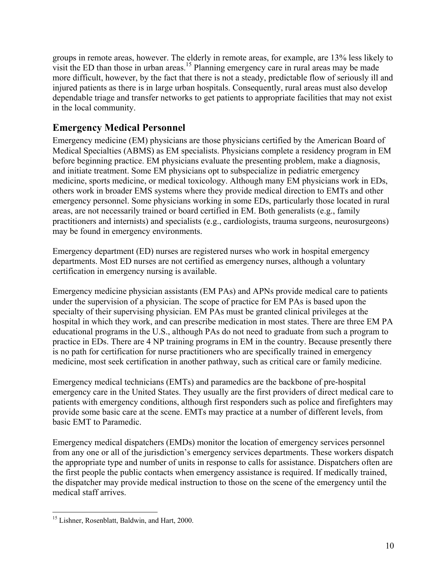groups in remote areas, however. The elderly in remote areas, for example, are 13% less likely to visit the ED than those in urban areas.<sup>15</sup> Planning emergency care in rural areas may be made more difficult, however, by the fact that there is not a steady, predictable flow of seriously ill and injured patients as there is in large urban hospitals. Consequently, rural areas must also develop dependable triage and transfer networks to get patients to appropriate facilities that may not exist in the local community.

## **Emergency Medical Personnel**

Emergency medicine (EM) physicians are those physicians certified by the American Board of Medical Specialties (ABMS) as EM specialists. Physicians complete a residency program in EM before beginning practice. EM physicians evaluate the presenting problem, make a diagnosis, and initiate treatment. Some EM physicians opt to subspecialize in pediatric emergency medicine, sports medicine, or medical toxicology. Although many EM physicians work in EDs, others work in broader EMS systems where they provide medical direction to EMTs and other emergency personnel. Some physicians working in some EDs, particularly those located in rural areas, are not necessarily trained or board certified in EM. Both generalists (e.g., family practitioners and internists) and specialists (e.g., cardiologists, trauma surgeons, neurosurgeons) may be found in emergency environments.

Emergency department (ED) nurses are registered nurses who work in hospital emergency departments. Most ED nurses are not certified as emergency nurses, although a voluntary certification in emergency nursing is available.

Emergency medicine physician assistants (EM PAs) and APNs provide medical care to patients under the supervision of a physician. The scope of practice for EM PAs is based upon the specialty of their supervising physician. EM PAs must be granted clinical privileges at the hospital in which they work, and can prescribe medication in most states. There are three EM PA educational programs in the U.S., although PAs do not need to graduate from such a program to practice in EDs. There are 4 NP training programs in EM in the country. Because presently there is no path for certification for nurse practitioners who are specifically trained in emergency medicine, most seek certification in another pathway, such as critical care or family medicine.

Emergency medical technicians (EMTs) and paramedics are the backbone of pre-hospital emergency care in the United States. They usually are the first providers of direct medical care to patients with emergency conditions, although first responders such as police and firefighters may provide some basic care at the scene. EMTs may practice at a number of different levels, from basic EMT to Paramedic.

Emergency medical dispatchers (EMDs) monitor the location of emergency services personnel from any one or all of the jurisdiction's emergency services departments. These workers dispatch the appropriate type and number of units in response to calls for assistance. Dispatchers often are the first people the public contacts when emergency assistance is required. If medically trained, the dispatcher may provide medical instruction to those on the scene of the emergency until the medical staff arrives.

 $\overline{a}$ <sup>15</sup> Lishner, Rosenblatt, Baldwin, and Hart, 2000.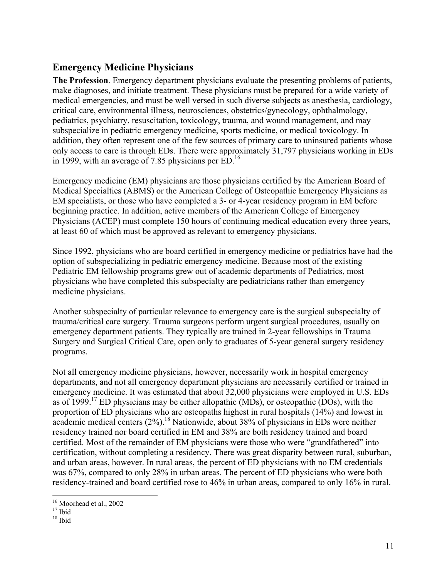#### **Emergency Medicine Physicians**

**The Profession**. Emergency department physicians evaluate the presenting problems of patients, make diagnoses, and initiate treatment. These physicians must be prepared for a wide variety of medical emergencies, and must be well versed in such diverse subjects as anesthesia, cardiology, critical care, environmental illness, neurosciences, obstetrics/gynecology, ophthalmology, pediatrics, psychiatry, resuscitation, toxicology, trauma, and wound management, and may subspecialize in pediatric emergency medicine, sports medicine, or medical toxicology. In addition, they often represent one of the few sources of primary care to uninsured patients whose only access to care is through EDs. There were approximately 31,797 physicians working in EDs in 1999, with an average of 7.85 physicians per  $ED<sup>16</sup>$ .

Emergency medicine (EM) physicians are those physicians certified by the American Board of Medical Specialties (ABMS) or the American College of Osteopathic Emergency Physicians as EM specialists, or those who have completed a 3- or 4-year residency program in EM before beginning practice. In addition, active members of the American College of Emergency Physicians (ACEP) must complete 150 hours of continuing medical education every three years, at least 60 of which must be approved as relevant to emergency physicians.

Since 1992, physicians who are board certified in emergency medicine or pediatrics have had the option of subspecializing in pediatric emergency medicine. Because most of the existing Pediatric EM fellowship programs grew out of academic departments of Pediatrics, most physicians who have completed this subspecialty are pediatricians rather than emergency medicine physicians.

Another subspecialty of particular relevance to emergency care is the surgical subspecialty of trauma/critical care surgery. Trauma surgeons perform urgent surgical procedures, usually on emergency department patients. They typically are trained in 2-year fellowships in Trauma Surgery and Surgical Critical Care, open only to graduates of 5-year general surgery residency programs.

Not all emergency medicine physicians, however, necessarily work in hospital emergency departments, and not all emergency department physicians are necessarily certified or trained in emergency medicine. It was estimated that about 32,000 physicians were employed in U.S. EDs as of 1999.<sup>17</sup> ED physicians may be either allopathic (MDs), or osteopathic (DOs), with the proportion of ED physicians who are osteopaths highest in rural hospitals (14%) and lowest in academic medical centers  $(2\%)$ .<sup>18</sup> Nationwide, about 38% of physicians in EDs were neither residency trained nor board certified in EM and 38% are both residency trained and board certified. Most of the remainder of EM physicians were those who were "grandfathered" into certification, without completing a residency. There was great disparity between rural, suburban, and urban areas, however. In rural areas, the percent of ED physicians with no EM credentials was 67%, compared to only 28% in urban areas. The percent of ED physicians who were both residency-trained and board certified rose to 46% in urban areas, compared to only 16% in rural.

 $\overline{a}$ 

<sup>&</sup>lt;sup>16</sup> Moorhead et al., 2002

 $17$  Ibid

 $18$  Ibid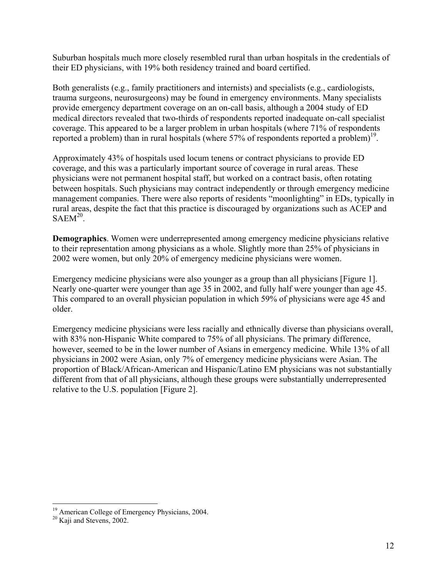Suburban hospitals much more closely resembled rural than urban hospitals in the credentials of their ED physicians, with 19% both residency trained and board certified.

Both generalists (e.g., family practitioners and internists) and specialists (e.g., cardiologists, trauma surgeons, neurosurgeons) may be found in emergency environments. Many specialists provide emergency department coverage on an on-call basis, although a 2004 study of ED medical directors revealed that two-thirds of respondents reported inadequate on-call specialist coverage. This appeared to be a larger problem in urban hospitals (where 71% of respondents reported a problem) than in rural hospitals (where  $57\%$  of respondents reported a problem)<sup>19</sup>.

Approximately 43% of hospitals used locum tenens or contract physicians to provide ED coverage, and this was a particularly important source of coverage in rural areas. These physicians were not permanent hospital staff, but worked on a contract basis, often rotating between hospitals. Such physicians may contract independently or through emergency medicine management companies. There were also reports of residents "moonlighting" in EDs, typically in rural areas, despite the fact that this practice is discouraged by organizations such as ACEP and  $SAEM<sup>20</sup>$ .

**Demographics**. Women were underrepresented among emergency medicine physicians relative to their representation among physicians as a whole. Slightly more than 25% of physicians in 2002 were women, but only 20% of emergency medicine physicians were women.

Emergency medicine physicians were also younger as a group than all physicians [Figure 1]. Nearly one-quarter were younger than age 35 in 2002, and fully half were younger than age 45. This compared to an overall physician population in which 59% of physicians were age 45 and older.

Emergency medicine physicians were less racially and ethnically diverse than physicians overall, with 83% non-Hispanic White compared to 75% of all physicians. The primary difference, however, seemed to be in the lower number of Asians in emergency medicine. While 13% of all physicians in 2002 were Asian, only 7% of emergency medicine physicians were Asian. The proportion of Black/African-American and Hispanic/Latino EM physicians was not substantially different from that of all physicians, although these groups were substantially underrepresented relative to the U.S. population [Figure 2].

1

<sup>&</sup>lt;sup>19</sup> American College of Emergency Physicians, 2004.<br><sup>20</sup> Kaji and Stevens, 2002.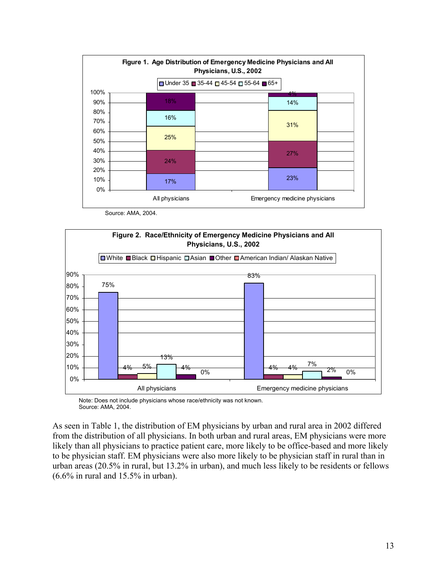

Source: AMA, 2004.



 Note: Does not include physicians whose race/ethnicity was not known. Source: AMA, 2004.

As seen in Table 1, the distribution of EM physicians by urban and rural area in 2002 differed from the distribution of all physicians. In both urban and rural areas, EM physicians were more likely than all physicians to practice patient care, more likely to be office-based and more likely to be physician staff. EM physicians were also more likely to be physician staff in rural than in urban areas (20.5% in rural, but 13.2% in urban), and much less likely to be residents or fellows (6.6% in rural and 15.5% in urban).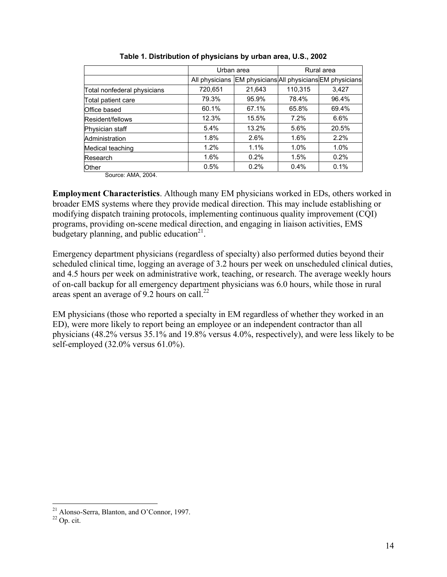|                             | Urban area     |                                            |         | Rural area |
|-----------------------------|----------------|--------------------------------------------|---------|------------|
|                             | All physicians | EM physicians All physicians EM physicians |         |            |
| Total nonfederal physicians | 720,651        | 21,643                                     | 110,315 | 3,427      |
| Total patient care          | 79.3%          | 95.9%                                      | 78.4%   | 96.4%      |
| Office based                | 60.1%          | 67.1%                                      | 65.8%   | 69.4%      |
| Resident/fellows            | 12.3%          | 15.5%                                      | 7.2%    | 6.6%       |
| Physician staff             | 5.4%           | 13.2%                                      | 5.6%    | 20.5%      |
| Administration              | 1.8%           | 2.6%                                       | 1.6%    | 2.2%       |
| Medical teaching            | 1.2%           | 1.1%                                       | 1.0%    | 1.0%       |
| Research                    | $1.6\%$        | 0.2%                                       | 1.5%    | 0.2%       |
| Other                       | 0.5%           | 0.2%                                       | 0.4%    | 0.1%       |

| Table 1. Distribution of physicians by urban area, U.S., 2002 |  |  |  |
|---------------------------------------------------------------|--|--|--|
|                                                               |  |  |  |

Source: AMA, 2004.

**Employment Characteristics**. Although many EM physicians worked in EDs, others worked in broader EMS systems where they provide medical direction. This may include establishing or modifying dispatch training protocols, implementing continuous quality improvement (CQI) programs, providing on-scene medical direction, and engaging in liaison activities, EMS budgetary planning, and public education $2^1$ .

Emergency department physicians (regardless of specialty) also performed duties beyond their scheduled clinical time, logging an average of 3.2 hours per week on unscheduled clinical duties, and 4.5 hours per week on administrative work, teaching, or research. The average weekly hours of on-call backup for all emergency department physicians was 6.0 hours, while those in rural areas spent an average of 9.2 hours on call.<sup>22</sup>

EM physicians (those who reported a specialty in EM regardless of whether they worked in an ED), were more likely to report being an employee or an independent contractor than all physicians (48.2% versus 35.1% and 19.8% versus 4.0%, respectively), and were less likely to be self-employed (32.0% versus 61.0%).

 $\overline{a}$ 

<sup>&</sup>lt;sup>21</sup> Alonso-Serra, Blanton, and O'Connor, 1997.

 $^{22}$  Op. cit.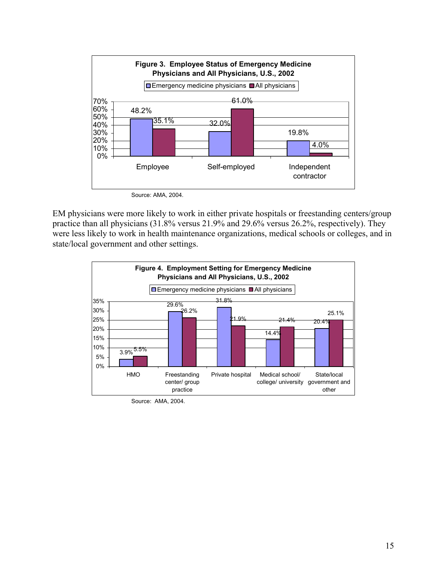

Source: AMA, 2004.

EM physicians were more likely to work in either private hospitals or freestanding centers/group practice than all physicians (31.8% versus 21.9% and 29.6% versus 26.2%, respectively). They were less likely to work in health maintenance organizations, medical schools or colleges, and in state/local government and other settings.



Source: AMA, 2004.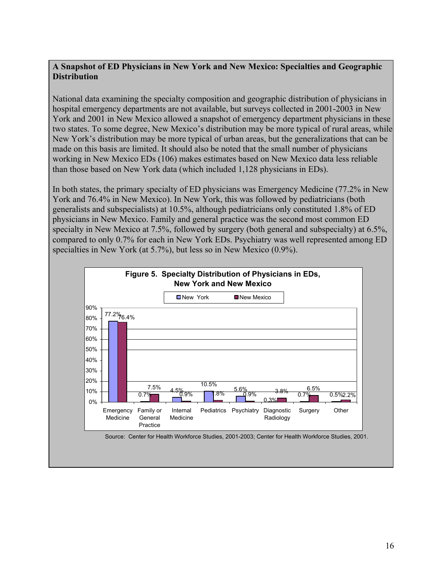#### **A Snapshot of ED Physicians in New York and New Mexico: Specialties and Geographic Distribution**

National data examining the specialty composition and geographic distribution of physicians in hospital emergency departments are not available, but surveys collected in 2001-2003 in New York and 2001 in New Mexico allowed a snapshot of emergency department physicians in these two states. To some degree, New Mexico's distribution may be more typical of rural areas, while New York's distribution may be more typical of urban areas, but the generalizations that can be made on this basis are limited. It should also be noted that the small number of physicians working in New Mexico EDs (106) makes estimates based on New Mexico data less reliable than those based on New York data (which included 1,128 physicians in EDs).

In both states, the primary specialty of ED physicians was Emergency Medicine (77.2% in New York and 76.4% in New Mexico). In New York, this was followed by pediatricians (both generalists and subspecialists) at 10.5%, although pediatricians only constituted 1.8% of ED physicians in New Mexico. Family and general practice was the second most common ED specialty in New Mexico at 7.5%, followed by surgery (both general and subspecialty) at 6.5%, compared to only 0.7% for each in New York EDs. Psychiatry was well represented among ED specialties in New York (at 5.7%), but less so in New Mexico (0.9%).



Source: Center for Health Workforce Studies, 2001-2003; Center for Health Workforce Studies, 2001.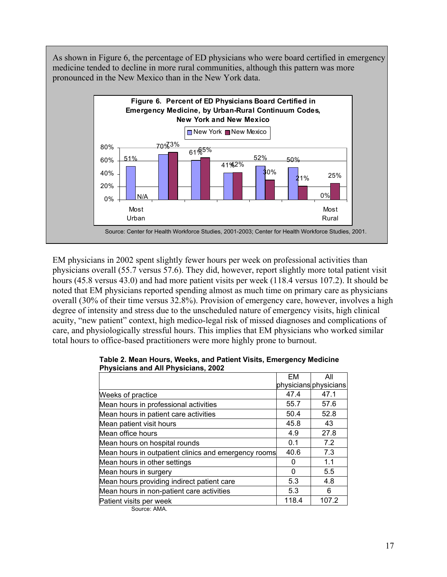As shown in Figure 6, the percentage of ED physicians who were board certified in emergency medicine tended to decline in more rural communities, although this pattern was more pronounced in the New Mexico than in the New York data.



EM physicians in 2002 spent slightly fewer hours per week on professional activities than physicians overall (55.7 versus 57.6). They did, however, report slightly more total patient visit hours (45.8 versus 43.0) and had more patient visits per week (118.4 versus 107.2). It should be noted that EM physicians reported spending almost as much time on primary care as physicians overall (30% of their time versus 32.8%). Provision of emergency care, however, involves a high degree of intensity and stress due to the unscheduled nature of emergency visits, high clinical acuity, "new patient" context, high medico-legal risk of missed diagnoses and complications of care, and physiologically stressful hours. This implies that EM physicians who worked similar total hours to office-based practitioners were more highly prone to burnout.

|                                                      | EM    | All                   |
|------------------------------------------------------|-------|-----------------------|
|                                                      |       | physicians physicians |
| Weeks of practice                                    | 47.4  | 47.1                  |
| Mean hours in professional activities                | 55.7  | 57.6                  |
| Mean hours in patient care activities                | 50.4  | 52.8                  |
| Mean patient visit hours                             | 45.8  | 43                    |
| Mean office hours                                    | 4.9   | 27.8                  |
| Mean hours on hospital rounds                        | 0.1   | 7.2                   |
| Mean hours in outpatient clinics and emergency rooms | 40.6  | 7.3                   |
| Mean hours in other settings                         | 0     | 1.1                   |
| Mean hours in surgery                                | 0     | 5.5                   |
| Mean hours providing indirect patient care           | 5.3   | 4.8                   |
| Mean hours in non-patient care activities            | 5.3   | 6                     |
| Patient visits per week                              | 118.4 | 107.2                 |
| Source: AMA.                                         |       |                       |

| Table 2. Mean Hours, Weeks, and Patient Visits, Emergency Medicine |  |
|--------------------------------------------------------------------|--|
| <b>Physicians and All Physicians, 2002</b>                         |  |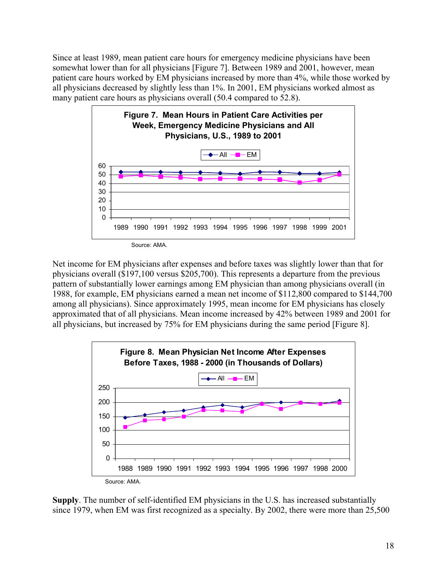Since at least 1989, mean patient care hours for emergency medicine physicians have been somewhat lower than for all physicians [Figure 7]. Between 1989 and 2001, however, mean patient care hours worked by EM physicians increased by more than 4%, while those worked by all physicians decreased by slightly less than 1%. In 2001, EM physicians worked almost as many patient care hours as physicians overall (50.4 compared to 52.8).



Net income for EM physicians after expenses and before taxes was slightly lower than that for physicians overall (\$197,100 versus \$205,700). This represents a departure from the previous pattern of substantially lower earnings among EM physician than among physicians overall (in 1988, for example, EM physicians earned a mean net income of \$112,800 compared to \$144,700 among all physicians). Since approximately 1995, mean income for EM physicians has closely approximated that of all physicians. Mean income increased by 42% between 1989 and 2001 for all physicians, but increased by 75% for EM physicians during the same period [Figure 8].



**Supply**. The number of self-identified EM physicians in the U.S. has increased substantially since 1979, when EM was first recognized as a specialty. By 2002, there were more than 25,500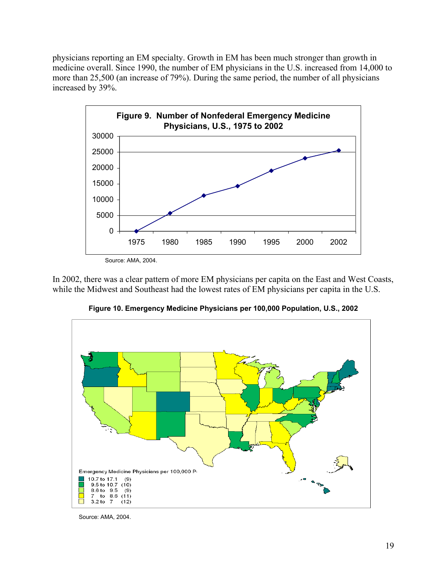physicians reporting an EM specialty. Growth in EM has been much stronger than growth in medicine overall. Since 1990, the number of EM physicians in the U.S. increased from 14,000 to more than 25,500 (an increase of 79%). During the same period, the number of all physicians increased by 39%.



In 2002, there was a clear pattern of more EM physicians per capita on the East and West Coasts, while the Midwest and Southeast had the lowest rates of EM physicians per capita in the U.S.



**Figure 10. Emergency Medicine Physicians per 100,000 Population, U.S., 2002** 

Source: AMA, 2004.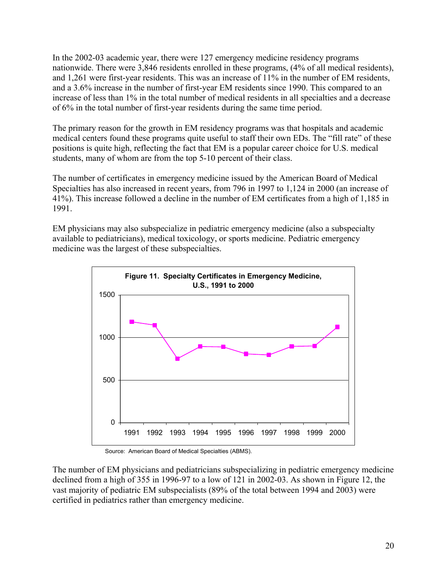In the 2002-03 academic year, there were 127 emergency medicine residency programs nationwide. There were 3,846 residents enrolled in these programs, (4% of all medical residents), and 1,261 were first-year residents. This was an increase of 11% in the number of EM residents, and a 3.6% increase in the number of first-year EM residents since 1990. This compared to an increase of less than 1% in the total number of medical residents in all specialties and a decrease of 6% in the total number of first-year residents during the same time period.

The primary reason for the growth in EM residency programs was that hospitals and academic medical centers found these programs quite useful to staff their own EDs. The "fill rate" of these positions is quite high, reflecting the fact that EM is a popular career choice for U.S. medical students, many of whom are from the top 5-10 percent of their class.

The number of certificates in emergency medicine issued by the American Board of Medical Specialties has also increased in recent years, from 796 in 1997 to 1,124 in 2000 (an increase of 41%). This increase followed a decline in the number of EM certificates from a high of 1,185 in 1991.

EM physicians may also subspecialize in pediatric emergency medicine (also a subspecialty available to pediatricians), medical toxicology, or sports medicine. Pediatric emergency medicine was the largest of these subspecialties.



Source: American Board of Medical Specialties (ABMS).

The number of EM physicians and pediatricians subspecializing in pediatric emergency medicine declined from a high of 355 in 1996-97 to a low of 121 in 2002-03. As shown in Figure 12, the vast majority of pediatric EM subspecialists (89% of the total between 1994 and 2003) were certified in pediatrics rather than emergency medicine.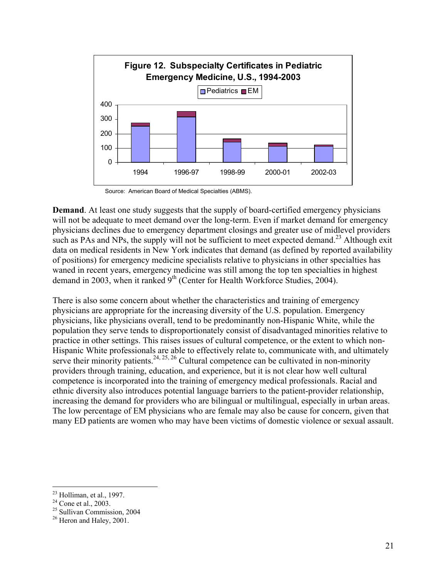

Source: American Board of Medical Specialties (ABMS).

**Demand**. At least one study suggests that the supply of board-certified emergency physicians will not be adequate to meet demand over the long-term. Even if market demand for emergency physicians declines due to emergency department closings and greater use of midlevel providers such as PAs and NPs, the supply will not be sufficient to meet expected demand.<sup>23</sup> Although exit data on medical residents in New York indicates that demand (as defined by reported availability of positions) for emergency medicine specialists relative to physicians in other specialties has waned in recent years, emergency medicine was still among the top ten specialties in highest demand in 2003, when it ranked  $9<sup>th</sup>$  (Center for Health Workforce Studies, 2004).

There is also some concern about whether the characteristics and training of emergency physicians are appropriate for the increasing diversity of the U.S. population. Emergency physicians, like physicians overall, tend to be predominantly non-Hispanic White, while the population they serve tends to disproportionately consist of disadvantaged minorities relative to practice in other settings. This raises issues of cultural competence, or the extent to which non-Hispanic White professionals are able to effectively relate to, communicate with, and ultimately serve their minority patients.<sup>24, 25, 26</sup> Cultural competence can be cultivated in non-minority providers through training, education, and experience, but it is not clear how well cultural competence is incorporated into the training of emergency medical professionals. Racial and ethnic diversity also introduces potential language barriers to the patient-provider relationship, increasing the demand for providers who are bilingual or multilingual, especially in urban areas. The low percentage of EM physicians who are female may also be cause for concern, given that many ED patients are women who may have been victims of domestic violence or sexual assault.

 $\overline{a}$ 

 $23$  Holliman, et al., 1997.

 $24$  Cone et al., 2003.

<sup>25</sup> Sullivan Commission, 2004

 $26$  Heron and Haley, 2001.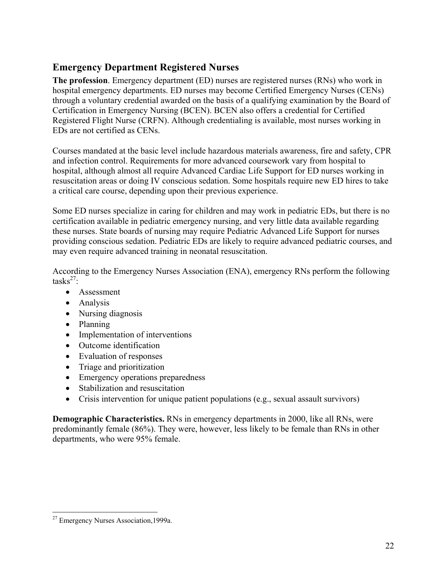#### **Emergency Department Registered Nurses**

**The profession**. Emergency department (ED) nurses are registered nurses (RNs) who work in hospital emergency departments. ED nurses may become Certified Emergency Nurses (CENs) through a voluntary credential awarded on the basis of a qualifying examination by the Board of Certification in Emergency Nursing (BCEN). BCEN also offers a credential for Certified Registered Flight Nurse (CRFN). Although credentialing is available, most nurses working in EDs are not certified as CENs.

Courses mandated at the basic level include hazardous materials awareness, fire and safety, CPR and infection control. Requirements for more advanced coursework vary from hospital to hospital, although almost all require Advanced Cardiac Life Support for ED nurses working in resuscitation areas or doing IV conscious sedation. Some hospitals require new ED hires to take a critical care course, depending upon their previous experience.

Some ED nurses specialize in caring for children and may work in pediatric EDs, but there is no certification available in pediatric emergency nursing, and very little data available regarding these nurses. State boards of nursing may require Pediatric Advanced Life Support for nurses providing conscious sedation. Pediatric EDs are likely to require advanced pediatric courses, and may even require advanced training in neonatal resuscitation.

According to the Emergency Nurses Association (ENA), emergency RNs perform the following tasks $^{27}$ :

- Assessment
- Analysis
- Nursing diagnosis
- Planning
- Implementation of interventions
- Outcome identification
- Evaluation of responses
- Triage and prioritization
- Emergency operations preparedness
- Stabilization and resuscitation
- Crisis intervention for unique patient populations (e.g., sexual assault survivors)

**Demographic Characteristics.** RNs in emergency departments in 2000, like all RNs, were predominantly female (86%). They were, however, less likely to be female than RNs in other departments, who were 95% female.

<sup>&</sup>lt;u>.</u> <sup>27</sup> Emergency Nurses Association, 1999a.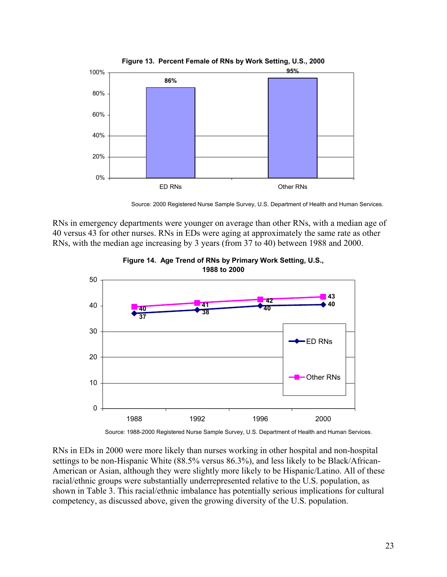

**Figure 13. Percent Female of RNs by Work Setting, U.S., 2000**

Source: 2000 Registered Nurse Sample Survey, U.S. Department of Health and Human Services.

RNs in emergency departments were younger on average than other RNs, with a median age of 40 versus 43 for other nurses. RNs in EDs were aging at approximately the same rate as other RNs, with the median age increasing by 3 years (from 37 to 40) between 1988 and 2000.



**Figure 14. Age Trend of RNs by Primary Work Setting, U.S., 1988 to 2000**

Source: 1988-2000 Registered Nurse Sample Survey, U.S. Department of Health and Human Services.

RNs in EDs in 2000 were more likely than nurses working in other hospital and non-hospital settings to be non-Hispanic White (88.5% versus 86.3%), and less likely to be Black/African-American or Asian, although they were slightly more likely to be Hispanic/Latino. All of these racial/ethnic groups were substantially underrepresented relative to the U.S. population, as shown in Table 3. This racial/ethnic imbalance has potentially serious implications for cultural competency, as discussed above, given the growing diversity of the U.S. population.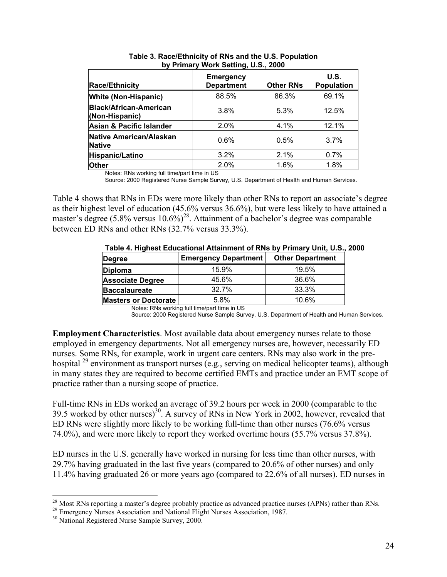| <b>Race/Ethnicity</b>                           | <b>Emergency</b><br><b>Department</b> | <b>Other RNs</b> | U.S.<br><b>Population</b> |
|-------------------------------------------------|---------------------------------------|------------------|---------------------------|
| <b>White (Non-Hispanic)</b>                     | 88.5%                                 | 86.3%            | 69.1%                     |
| <b>Black/African-American</b><br>(Non-Hispanic) | 3.8%                                  | 5.3%             | 12.5%                     |
| <b>Asian &amp; Pacific Islander</b>             | 2.0%                                  | 4.1%             | 12.1%                     |
| Native American/Alaskan<br><b>Native</b>        | 0.6%                                  | 0.5%             | 3.7%                      |
| Hispanic/Latino                                 | $3.2\%$                               | 2.1%             | $0.7\%$                   |
| <b>Other</b>                                    | 2.0%                                  | 1.6%             | 1.8%                      |

**Table 3. Race/Ethnicity of RNs and the U.S. Population by Primary Work Setting, U.S., 2000**

Notes: RNs working full time/part time in US

Source: 2000 Registered Nurse Sample Survey, U.S. Department of Health and Human Services.

Table 4 shows that RNs in EDs were more likely than other RNs to report an associate's degree as their highest level of education (45.6% versus 36.6%), but were less likely to have attained a master's degree (5.8% versus  $10.6\%$ )<sup>28</sup>. Attainment of a bachelor's degree was comparable between ED RNs and other RNs (32.7% versus 33.3%).

| $\mathbf{r}$ , and $\mathbf{r}$ is a set of the set of the set of the set of the set of $\mathbf{r}$ , $\mathbf{r}$ , $\mathbf{r}$ , $\mathbf{r}$ , $\mathbf{r}$ , $\mathbf{r}$ , $\mathbf{r}$ , $\mathbf{r}$ , $\mathbf{r}$ , $\mathbf{r}$ , $\mathbf{r}$ , $\mathbf{r}$ , $\mathbf{r}$ |                             |                         |  |  |  |
|------------------------------------------------------------------------------------------------------------------------------------------------------------------------------------------------------------------------------------------------------------------------------------------|-----------------------------|-------------------------|--|--|--|
| <b>Degree</b>                                                                                                                                                                                                                                                                            | <b>Emergency Department</b> | <b>Other Department</b> |  |  |  |
| Diploma                                                                                                                                                                                                                                                                                  | 15.9%                       | 19.5%                   |  |  |  |
| <b>Associate Degree</b>                                                                                                                                                                                                                                                                  | 45.6%                       | 36.6%                   |  |  |  |
| <b>Baccalaureate</b>                                                                                                                                                                                                                                                                     | 32.7%                       | 33.3%                   |  |  |  |
| <b>Masters or Doctorate</b>                                                                                                                                                                                                                                                              | 5.8%                        | 10.6%                   |  |  |  |

 **Table 4. Highest Educational Attainment of RNs by Primary Unit, U.S., 2000** 

Notes: RNs working full time/part time in US

Source: 2000 Registered Nurse Sample Survey, U.S. Department of Health and Human Services.

**Employment Characteristics**. Most available data about emergency nurses relate to those employed in emergency departments. Not all emergency nurses are, however, necessarily ED nurses. Some RNs, for example, work in urgent care centers. RNs may also work in the prehospital  $^{29}$  environment as transport nurses (e.g., serving on medical helicopter teams), although in many states they are required to become certified EMTs and practice under an EMT scope of practice rather than a nursing scope of practice.

Full-time RNs in EDs worked an average of 39.2 hours per week in 2000 (comparable to the 39.5 worked by other nurses)<sup>30</sup>. A survey of RNs in New York in 2002, however, revealed that ED RNs were slightly more likely to be working full-time than other nurses (76.6% versus 74.0%), and were more likely to report they worked overtime hours (55.7% versus 37.8%).

ED nurses in the U.S. generally have worked in nursing for less time than other nurses, with 29.7% having graduated in the last five years (compared to 20.6% of other nurses) and only 11.4% having graduated 26 or more years ago (compared to 22.6% of all nurses). ED nurses in

 $\overline{a}$ 

<sup>&</sup>lt;sup>28</sup> Most RNs reporting a master's degree probably practice as advanced practice nurses (APNs) rather than RNs.<br><sup>29</sup> Emergency Nurses Association and National Flight Nurses Association, 1987.<br><sup>30</sup> National Registered Nurs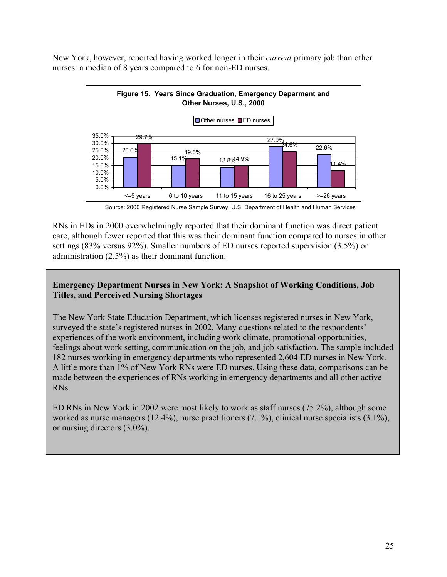New York, however, reported having worked longer in their *current* primary job than other nurses: a median of 8 years compared to 6 for non-ED nurses.



Source: 2000 Registered Nurse Sample Survey, U.S. Department of Health and Human Services

RNs in EDs in 2000 overwhelmingly reported that their dominant function was direct patient care, although fewer reported that this was their dominant function compared to nurses in other settings (83% versus 92%). Smaller numbers of ED nurses reported supervision (3.5%) or administration (2.5%) as their dominant function.

#### **Emergency Department Nurses in New York: A Snapshot of Working Conditions, Job Titles, and Perceived Nursing Shortages**

The New York State Education Department, which licenses registered nurses in New York, surveyed the state's registered nurses in 2002. Many questions related to the respondents' experiences of the work environment, including work climate, promotional opportunities, feelings about work setting, communication on the job, and job satisfaction. The sample included 182 nurses working in emergency departments who represented 2,604 ED nurses in New York. A little more than 1% of New York RNs were ED nurses. Using these data, comparisons can be made between the experiences of RNs working in emergency departments and all other active RNs.

ED RNs in New York in 2002 were most likely to work as staff nurses (75.2%), although some worked as nurse managers (12.4%), nurse practitioners (7.1%), clinical nurse specialists (3.1%), or nursing directors (3.0%).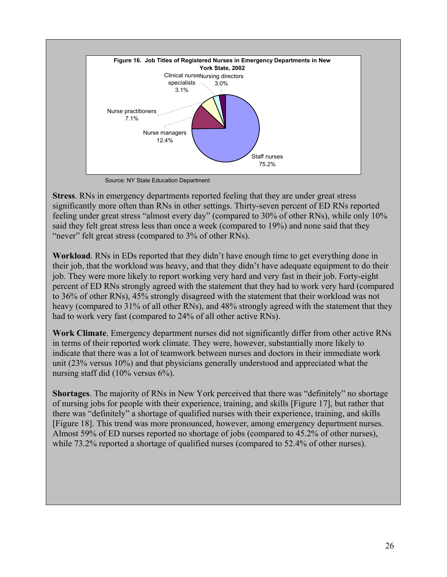

Source: NY State Education Department

**Stress**. RNs in emergency departments reported feeling that they are under great stress significantly more often than RNs in other settings. Thirty-seven percent of ED RNs reported feeling under great stress "almost every day" (compared to 30% of other RNs), while only 10% said they felt great stress less than once a week (compared to 19%) and none said that they "never" felt great stress (compared to 3% of other RNs).

**Workload**. RNs in EDs reported that they didn't have enough time to get everything done in their job, that the workload was heavy, and that they didn't have adequate equipment to do their job. They were more likely to report working very hard and very fast in their job. Forty-eight percent of ED RNs strongly agreed with the statement that they had to work very hard (compared to 36% of other RNs), 45% strongly disagreed with the statement that their workload was not heavy (compared to 31% of all other RNs), and 48% strongly agreed with the statement that they had to work very fast (compared to 24% of all other active RNs).

**Work Climate**. Emergency department nurses did not significantly differ from other active RNs in terms of their reported work climate. They were, however, substantially more likely to indicate that there was a lot of teamwork between nurses and doctors in their immediate work unit (23% versus 10%) and that physicians generally understood and appreciated what the nursing staff did (10% versus 6%).

**Shortages**. The majority of RNs in New York perceived that there was "definitely" no shortage of nursing jobs for people with their experience, training, and skills [Figure 17], but rather that there was "definitely" a shortage of qualified nurses with their experience, training, and skills [Figure 18]. This trend was more pronounced, however, among emergency department nurses. Almost 59% of ED nurses reported no shortage of jobs (compared to 45.2% of other nurses), while 73.2% reported a shortage of qualified nurses (compared to 52.4% of other nurses).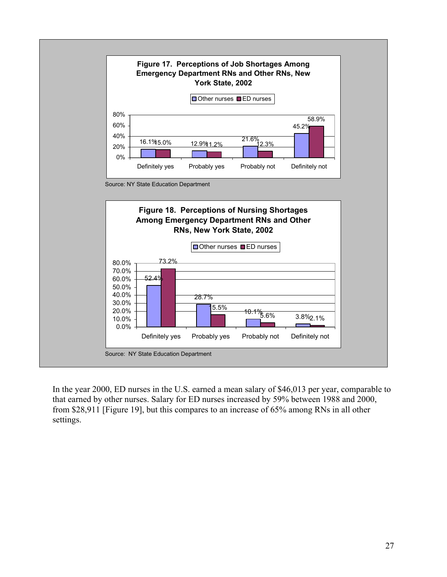

In the year 2000, ED nurses in the U.S. earned a mean salary of \$46,013 per year, comparable to that earned by other nurses. Salary for ED nurses increased by 59% between 1988 and 2000, from \$28,911 [Figure 19], but this compares to an increase of 65% among RNs in all other settings.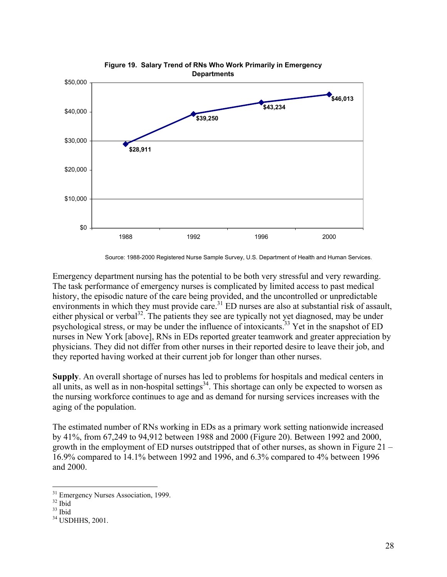

Source: 1988-2000 Registered Nurse Sample Survey, U.S. Department of Health and Human Services.

Emergency department nursing has the potential to be both very stressful and very rewarding. The task performance of emergency nurses is complicated by limited access to past medical history, the episodic nature of the care being provided, and the uncontrolled or unpredictable environments in which they must provide care.<sup>31</sup> ED nurses are also at substantial risk of assault, either physical or verbal<sup>32</sup>. The patients they see are typically not yet diagnosed, may be under psychological stress, or may be under the influence of intoxicants.33 Yet in the snapshot of ED nurses in New York [above], RNs in EDs reported greater teamwork and greater appreciation by physicians. They did not differ from other nurses in their reported desire to leave their job, and they reported having worked at their current job for longer than other nurses.

**Supply**. An overall shortage of nurses has led to problems for hospitals and medical centers in all units, as well as in non-hospital settings<sup>34</sup>. This shortage can only be expected to worsen as the nursing workforce continues to age and as demand for nursing services increases with the aging of the population.

The estimated number of RNs working in EDs as a primary work setting nationwide increased by 41%, from 67,249 to 94,912 between 1988 and 2000 (Figure 20). Between 1992 and 2000, growth in the employment of ED nurses outstripped that of other nurses, as shown in Figure 21 – 16.9% compared to 14.1% between 1992 and 1996, and 6.3% compared to 4% between 1996 and 2000.

 $\overline{a}$ 

<sup>&</sup>lt;sup>31</sup> Emergency Nurses Association, 1999.

 $32$  Ibid

 $33$  Ibid

<sup>&</sup>lt;sup>34</sup> USDHHS, 2001.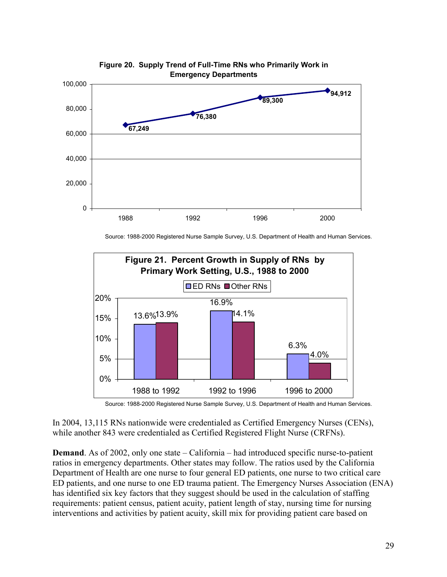

# **Figure 20. Supply Trend of Full-Time RNs who Primarily Work in**

Source: 1988-2000 Registered Nurse Sample Survey, U.S. Department of Health and Human Services.



Source: 1988-2000 Registered Nurse Sample Survey, U.S. Department of Health and Human Services.

In 2004, 13,115 RNs nationwide were credentialed as Certified Emergency Nurses (CENs), while another 843 were credentialed as Certified Registered Flight Nurse (CRFNs).

**Demand**. As of 2002, only one state – California – had introduced specific nurse-to-patient ratios in emergency departments. Other states may follow. The ratios used by the California Department of Health are one nurse to four general ED patients, one nurse to two critical care ED patients, and one nurse to one ED trauma patient. The Emergency Nurses Association (ENA) has identified six key factors that they suggest should be used in the calculation of staffing requirements: patient census, patient acuity, patient length of stay, nursing time for nursing interventions and activities by patient acuity, skill mix for providing patient care based on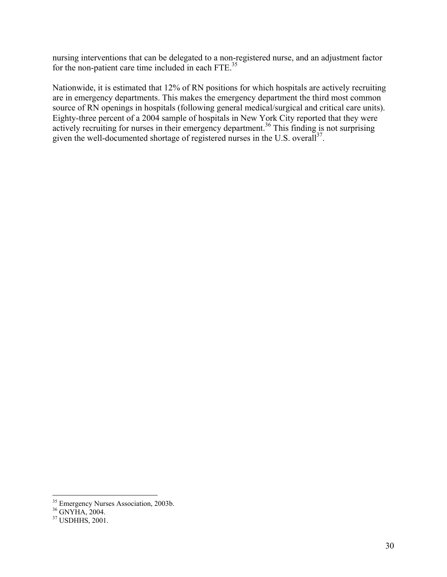nursing interventions that can be delegated to a non-registered nurse, and an adjustment factor for the non-patient care time included in each FTE.<sup>35</sup>

Nationwide, it is estimated that 12% of RN positions for which hospitals are actively recruiting are in emergency departments. This makes the emergency department the third most common source of RN openings in hospitals (following general medical/surgical and critical care units). Eighty-three percent of a 2004 sample of hospitals in New York City reported that they were actively recruiting for nurses in their emergency department.<sup>36</sup> This finding is not surprising given the well-documented shortage of registered nurses in the U.S. overall<sup>37</sup>.

 $\overline{a}$ 

<sup>&</sup>lt;sup>35</sup> Emergency Nurses Association, 2003b.

<sup>36</sup> GNYHA, 2004.

<sup>37</sup> USDHHS, 2001.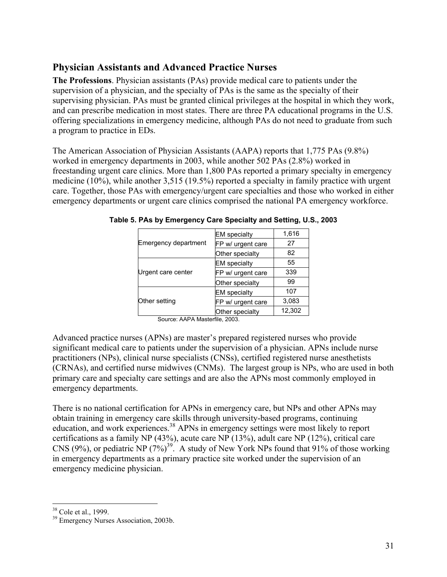#### **Physician Assistants and Advanced Practice Nurses**

**The Professions**. Physician assistants (PAs) provide medical care to patients under the supervision of a physician, and the specialty of PAs is the same as the specialty of their supervising physician. PAs must be granted clinical privileges at the hospital in which they work, and can prescribe medication in most states. There are three PA educational programs in the U.S. offering specializations in emergency medicine, although PAs do not need to graduate from such a program to practice in EDs.

The American Association of Physician Assistants (AAPA) reports that 1,775 PAs (9.8%) worked in emergency departments in 2003, while another 502 PAs (2.8%) worked in freestanding urgent care clinics. More than 1,800 PAs reported a primary specialty in emergency medicine (10%), while another 3,515 (19.5%) reported a specialty in family practice with urgent care. Together, those PAs with emergency/urgent care specialties and those who worked in either emergency departments or urgent care clinics comprised the national PA emergency workforce.

|                      | <b>EM</b> specialty | 1,616  |
|----------------------|---------------------|--------|
| Emergency department | FP w/ urgent care   | 27     |
|                      | Other specialty     | 82     |
|                      | <b>EM</b> specialty | 55     |
| Urgent care center   | FP w/ urgent care   | 339    |
|                      | Other specialty     | 99     |
|                      | <b>EM</b> specialty | 107    |
| Other setting        | FP w/ urgent care   | 3,083  |
|                      | Other specialty     | 12,302 |

**Table 5. PAs by Emergency Care Specialty and Setting, U.S., 2003** 

Source: AAPA Masterfile, 2003.

Advanced practice nurses (APNs) are master's prepared registered nurses who provide significant medical care to patients under the supervision of a physician. APNs include nurse practitioners (NPs), clinical nurse specialists (CNSs), certified registered nurse anesthetists (CRNAs), and certified nurse midwives (CNMs). The largest group is NPs, who are used in both primary care and specialty care settings and are also the APNs most commonly employed in emergency departments.

There is no national certification for APNs in emergency care, but NPs and other APNs may obtain training in emergency care skills through university-based programs, continuing education, and work experiences.<sup>38</sup> APNs in emergency settings were most likely to report certifications as a family NP (43%), acute care NP (13%), adult care NP (12%), critical care CNS (9%), or pediatric NP  $(7%)^{39}$ . A study of New York NPs found that 91% of those working in emergency departments as a primary practice site worked under the supervision of an emergency medicine physician.

 $\overline{a}$ 

<sup>&</sup>lt;sup>38</sup> Cole et al., 1999.

<sup>39</sup> Emergency Nurses Association, 2003b.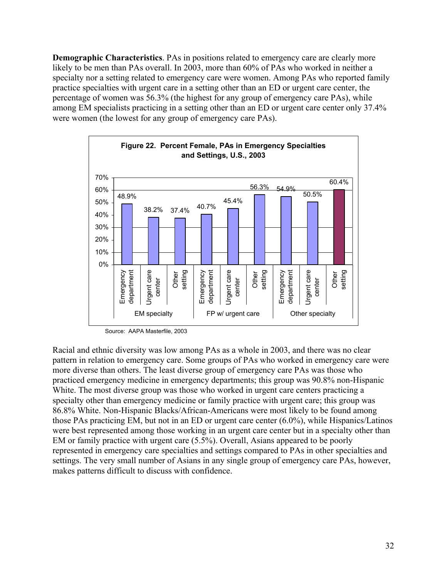**Demographic Characteristics**. PAs in positions related to emergency care are clearly more likely to be men than PAs overall. In 2003, more than 60% of PAs who worked in neither a specialty nor a setting related to emergency care were women. Among PAs who reported family practice specialties with urgent care in a setting other than an ED or urgent care center, the percentage of women was 56.3% (the highest for any group of emergency care PAs), while among EM specialists practicing in a setting other than an ED or urgent care center only 37.4% were women (the lowest for any group of emergency care PAs).



Source: AAPA Masterfile, 2003

Racial and ethnic diversity was low among PAs as a whole in 2003, and there was no clear pattern in relation to emergency care. Some groups of PAs who worked in emergency care were more diverse than others. The least diverse group of emergency care PAs was those who practiced emergency medicine in emergency departments; this group was 90.8% non-Hispanic White. The most diverse group was those who worked in urgent care centers practicing a specialty other than emergency medicine or family practice with urgent care; this group was 86.8% White. Non-Hispanic Blacks/African-Americans were most likely to be found among those PAs practicing EM, but not in an ED or urgent care center (6.0%), while Hispanics/Latinos were best represented among those working in an urgent care center but in a specialty other than EM or family practice with urgent care (5.5%). Overall, Asians appeared to be poorly represented in emergency care specialties and settings compared to PAs in other specialties and settings. The very small number of Asians in any single group of emergency care PAs, however, makes patterns difficult to discuss with confidence.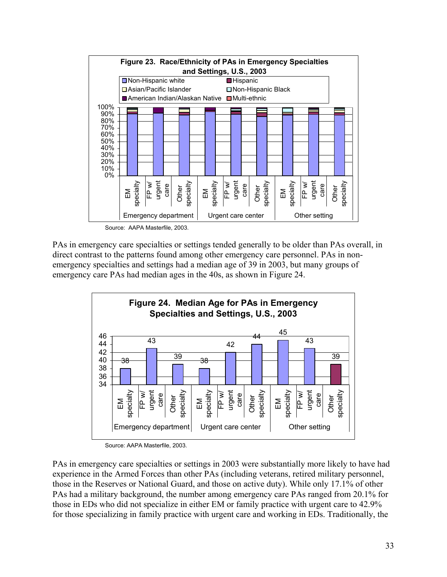

Source: AAPA Masterfile, 2003.

PAs in emergency care specialties or settings tended generally to be older than PAs overall, in direct contrast to the patterns found among other emergency care personnel. PAs in nonemergency specialties and settings had a median age of 39 in 2003, but many groups of emergency care PAs had median ages in the 40s, as shown in Figure 24.



Source: AAPA Masterfile, 2003.

PAs in emergency care specialties or settings in 2003 were substantially more likely to have had experience in the Armed Forces than other PAs (including veterans, retired military personnel, those in the Reserves or National Guard, and those on active duty). While only 17.1% of other PAs had a military background, the number among emergency care PAs ranged from 20.1% for those in EDs who did not specialize in either EM or family practice with urgent care to 42.9% for those specializing in family practice with urgent care and working in EDs. Traditionally, the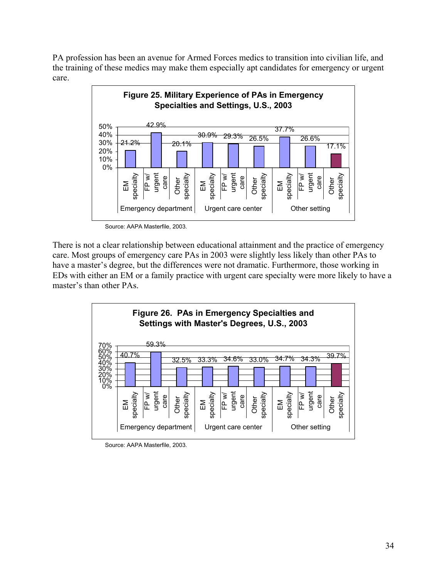PA profession has been an avenue for Armed Forces medics to transition into civilian life, and the training of these medics may make them especially apt candidates for emergency or urgent care.



Source: AAPA Masterfile, 2003.

There is not a clear relationship between educational attainment and the practice of emergency care. Most groups of emergency care PAs in 2003 were slightly less likely than other PAs to have a master's degree, but the differences were not dramatic. Furthermore, those working in EDs with either an EM or a family practice with urgent care specialty were more likely to have a master's than other PAs.



Source: AAPA Masterfile, 2003.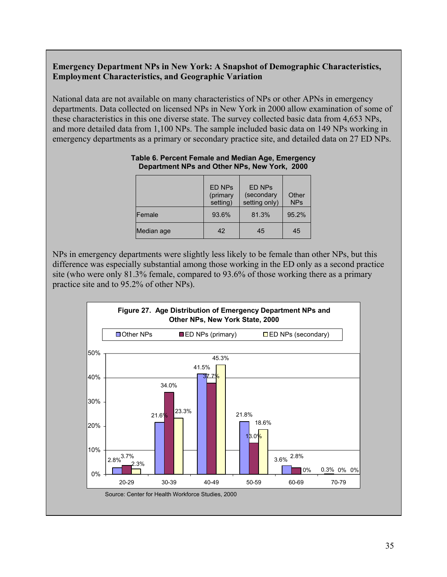#### **Emergency Department NPs in New York: A Snapshot of Demographic Characteristics, Employment Characteristics, and Geographic Variation**

National data are not available on many characteristics of NPs or other APNs in emergency departments. Data collected on licensed NPs in New York in 2000 allow examination of some of these characteristics in this one diverse state. The survey collected basic data from 4,653 NPs, and more detailed data from 1,100 NPs. The sample included basic data on 149 NPs working in emergency departments as a primary or secondary practice site, and detailed data on 27 ED NPs.

|                | <b>ED NPs</b><br>(primary<br>setting) | <b>ED NPs</b><br>(secondary<br>setting only) | Other<br><b>NPs</b> |
|----------------|---------------------------------------|----------------------------------------------|---------------------|
| <b>IFemale</b> | 93.6%                                 | 81.3%                                        | 95.2%               |
| Median age     | 42                                    | 45                                           | 45                  |

#### **Table 6. Percent Female and Median Age, Emergency Department NPs and Other NPs, New York, 2000**

NPs in emergency departments were slightly less likely to be female than other NPs, but this difference was especially substantial among those working in the ED only as a second practice site (who were only 81.3% female, compared to 93.6% of those working there as a primary practice site and to 95.2% of other NPs).

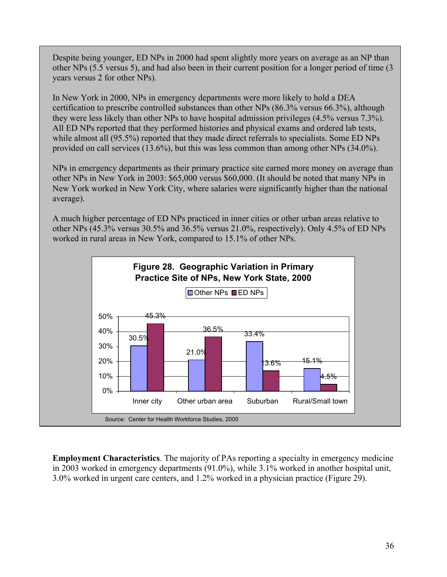Despite being younger, ED NPs in 2000 had spent slightly more years on average as an NP than other NPs (5.5 versus 5), and had also been in their current position for a longer period of time (3 years versus 2 for other NPs).

In New York in 2000, NPs in emergency departments were more likely to hold a DEA certification to prescribe controlled substances than other NPs (86.3% versus 66.3%), although they were less likely than other NPs to have hospital admission privileges (4.5% versus 7.3%). All ED NPs reported that they performed histories and physical exams and ordered lab tests, while almost all (95.5%) reported that they made direct referrals to specialists. Some ED NPs provided on call services (13.6%), but this was less common than among other NPs (34.0%).

NPs in emergency departments as their primary practice site earned more money on average than other NPs in New York in 2003: \$65,000 versus \$60,000. (It should be noted that many NPs in New York worked in New York City, where salaries were significantly higher than the national average).

A much higher percentage of ED NPs practiced in inner cities or other urban areas relative to other NPs (45.3% versus 30.5% and 36.5% versus 21.0%, respectively). Only 4.5% of ED NPs worked in rural areas in New York, compared to 15.1% of other NPs.



**Employment Characteristics**. The majority of PAs reporting a specialty in emergency medicine in 2003 worked in emergency departments (91.0%), while 3.1% worked in another hospital unit, 3.0% worked in urgent care centers, and 1.2% worked in a physician practice (Figure 29).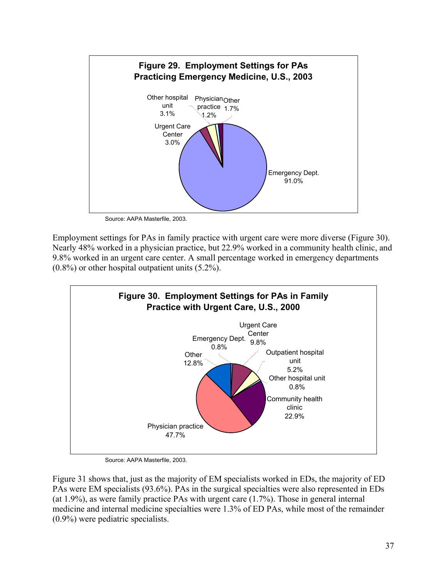

Source: AAPA Masterfile, 2003.

Employment settings for PAs in family practice with urgent care were more diverse (Figure 30). Nearly 48% worked in a physician practice, but 22.9% worked in a community health clinic, and 9.8% worked in an urgent care center. A small percentage worked in emergency departments (0.8%) or other hospital outpatient units (5.2%).



Source: AAPA Masterfile, 2003.

Figure 31 shows that, just as the majority of EM specialists worked in EDs, the majority of ED PAs were EM specialists (93.6%). PAs in the surgical specialties were also represented in EDs (at 1.9%), as were family practice PAs with urgent care (1.7%). Those in general internal medicine and internal medicine specialties were 1.3% of ED PAs, while most of the remainder (0.9%) were pediatric specialists.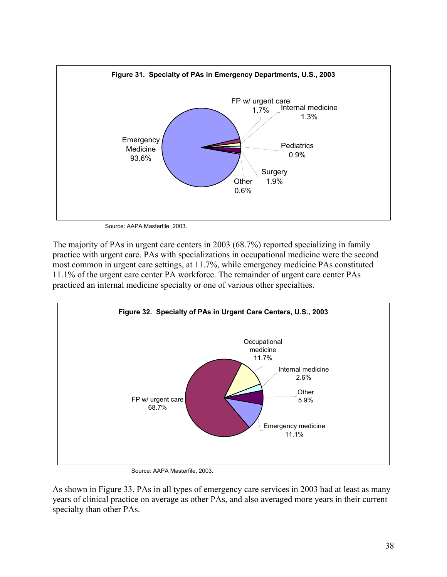

Source: AAPA Masterfile, 2003.

The majority of PAs in urgent care centers in 2003 (68.7%) reported specializing in family practice with urgent care. PAs with specializations in occupational medicine were the second most common in urgent care settings, at 11.7%, while emergency medicine PAs constituted 11.1% of the urgent care center PA workforce. The remainder of urgent care center PAs practiced an internal medicine specialty or one of various other specialties.



Source: AAPA Masterfile, 2003.

As shown in Figure 33, PAs in all types of emergency care services in 2003 had at least as many years of clinical practice on average as other PAs, and also averaged more years in their current specialty than other PAs.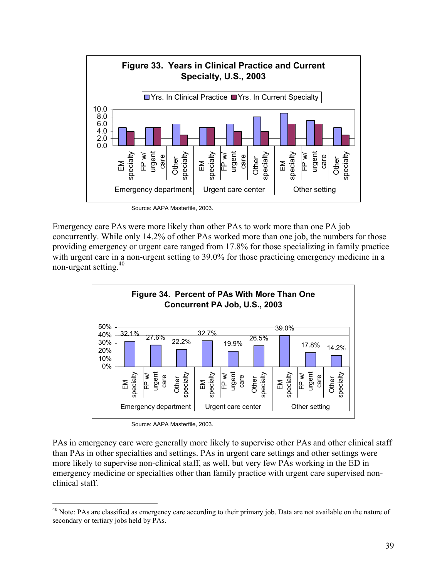

Source: AAPA Masterfile, 2003.

Emergency care PAs were more likely than other PAs to work more than one PA job concurrently. While only 14.2% of other PAs worked more than one job, the numbers for those providing emergency or urgent care ranged from 17.8% for those specializing in family practice with urgent care in a non-urgent setting to 39.0% for those practicing emergency medicine in a non-urgent setting.<sup>40</sup>



Source: AAPA Masterfile, 2003.

 $\overline{a}$ 

PAs in emergency care were generally more likely to supervise other PAs and other clinical staff than PAs in other specialties and settings. PAs in urgent care settings and other settings were more likely to supervise non-clinical staff, as well, but very few PAs working in the ED in emergency medicine or specialties other than family practice with urgent care supervised nonclinical staff.

<sup>&</sup>lt;sup>40</sup> Note: PAs are classified as emergency care according to their primary job. Data are not available on the nature of secondary or tertiary jobs held by PAs.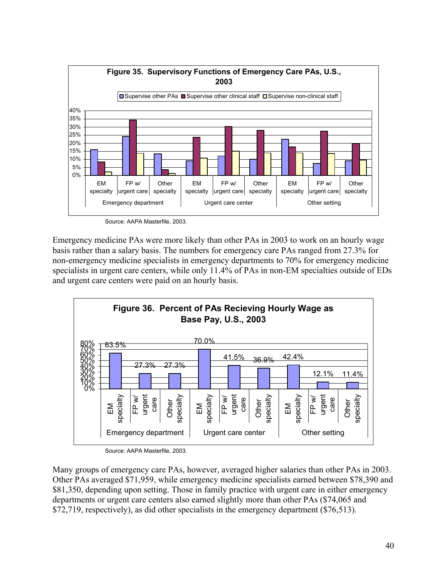

Source: AAPA Masterfile, 2003.

Emergency medicine PAs were more likely than other PAs in 2003 to work on an hourly wage basis rather than a salary basis. The numbers for emergency care PAs ranged from 27.3% for non-emergency medicine specialists in emergency departments to 70% for emergency medicine specialists in urgent care centers, while only 11.4% of PAs in non-EM specialties outside of EDs and urgent care centers were paid on an hourly basis.



Source: AAPA Masterfile, 2003.

Many groups of emergency care PAs, however, averaged higher salaries than other PAs in 2003. Other PAs averaged \$71,959, while emergency medicine specialists earned between \$78,390 and \$81,350, depending upon setting. Those in family practice with urgent care in either emergency departments or urgent care centers also earned slightly more than other PAs (\$74,065 and \$72,719, respectively), as did other specialists in the emergency department (\$76,513).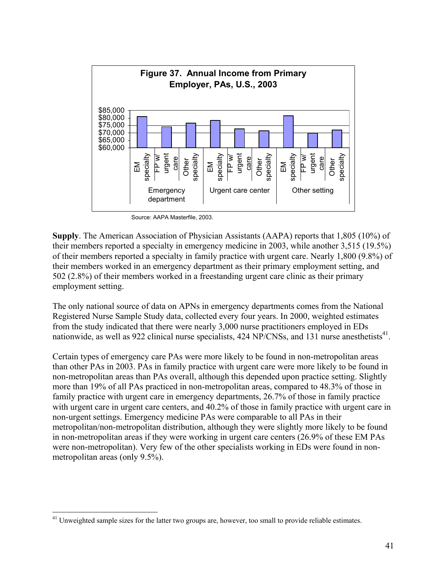

Source: AAPA Masterfile, 2003.

**Supply**. The American Association of Physician Assistants (AAPA) reports that 1,805 (10%) of their members reported a specialty in emergency medicine in 2003, while another 3,515 (19.5%) of their members reported a specialty in family practice with urgent care. Nearly 1,800 (9.8%) of their members worked in an emergency department as their primary employment setting, and 502 (2.8%) of their members worked in a freestanding urgent care clinic as their primary employment setting.

The only national source of data on APNs in emergency departments comes from the National Registered Nurse Sample Study data, collected every four years. In 2000, weighted estimates from the study indicated that there were nearly 3,000 nurse practitioners employed in EDs nationwide, as well as 922 clinical nurse specialists, 424 NP/CNSs, and 131 nurse anesthetists<sup>41</sup>.

Certain types of emergency care PAs were more likely to be found in non-metropolitan areas than other PAs in 2003. PAs in family practice with urgent care were more likely to be found in non-metropolitan areas than PAs overall, although this depended upon practice setting. Slightly more than 19% of all PAs practiced in non-metropolitan areas, compared to 48.3% of those in family practice with urgent care in emergency departments, 26.7% of those in family practice with urgent care in urgent care centers, and 40.2% of those in family practice with urgent care in non-urgent settings. Emergency medicine PAs were comparable to all PAs in their metropolitan/non-metropolitan distribution, although they were slightly more likely to be found in non-metropolitan areas if they were working in urgent care centers (26.9% of these EM PAs were non-metropolitan). Very few of the other specialists working in EDs were found in nonmetropolitan areas (only 9.5%).

 $\overline{a}$ 

<sup>&</sup>lt;sup>41</sup> Unweighted sample sizes for the latter two groups are, however, too small to provide reliable estimates.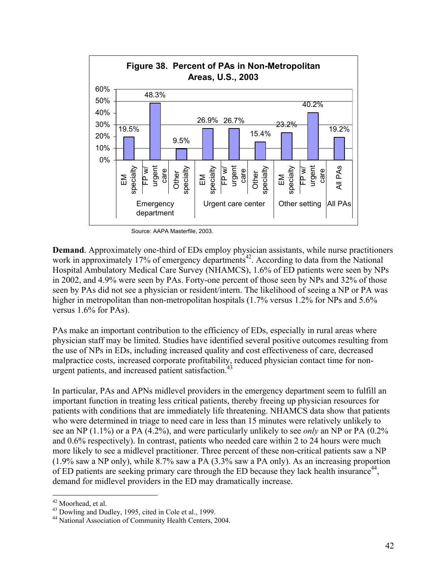

Source: AAPA Masterfile, 2003.

**Demand**. Approximately one-third of EDs employ physician assistants, while nurse practitioners work in approximately 17% of emergency departments<sup>42</sup>. According to data from the National Hospital Ambulatory Medical Care Survey (NHAMCS), 1.6% of ED patients were seen by NPs in 2002, and 4.9% were seen by PAs. Forty-one percent of those seen by NPs and 32% of those seen by PAs did not see a physician or resident/intern. The likelihood of seeing a NP or PA was higher in metropolitan than non-metropolitan hospitals (1.7% versus 1.2% for NPs and 5.6% versus 1.6% for PAs).

PAs make an important contribution to the efficiency of EDs, especially in rural areas where physician staff may be limited. Studies have identified several positive outcomes resulting from the use of NPs in EDs, including increased quality and cost effectiveness of care, decreased malpractice costs, increased corporate profitability, reduced physician contact time for nonurgent patients, and increased patient satisfaction.<sup>43</sup>

In particular, PAs and APNs midlevel providers in the emergency department seem to fulfill an important function in treating less critical patients, thereby freeing up physician resources for patients with conditions that are immediately life threatening. NHAMCS data show that patients who were determined in triage to need care in less than 15 minutes were relatively unlikely to see an NP (1.1%) or a PA (4.2%), and were particularly unlikely to see *only* an NP or PA (0.2% and 0.6% respectively). In contrast, patients who needed care within 2 to 24 hours were much more likely to see a midlevel practitioner. Three percent of these non-critical patients saw a NP (1.9% saw a NP only), while 8.7% saw a PA (3.3% saw a PA only). As an increasing proportion of ED patients are seeking primary care through the ED because they lack health insurance<sup>44</sup>. demand for midlevel providers in the ED may dramatically increase.

1

 $^{42}$  Moorhead, et al.<br> $^{43}$  Dowling and Dudley, 1995, cited in Cole et al., 1999.

<sup>&</sup>lt;sup>44</sup> National Association of Community Health Centers, 2004.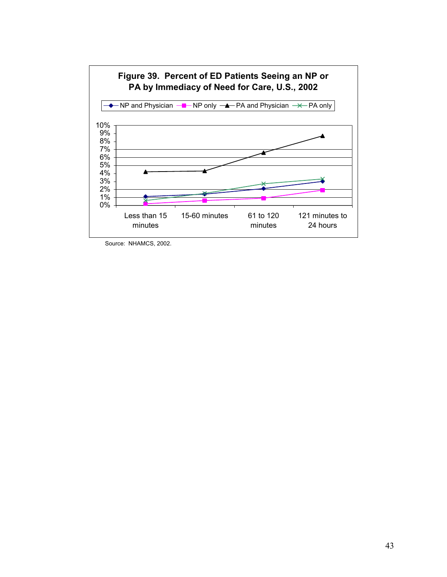

Source: NHAMCS, 2002.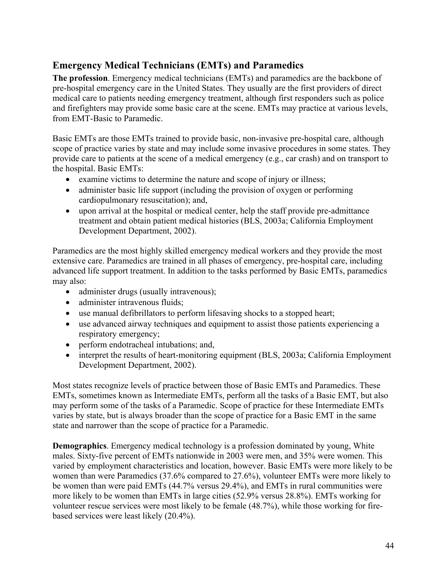#### **Emergency Medical Technicians (EMTs) and Paramedics**

**The profession**. Emergency medical technicians (EMTs) and paramedics are the backbone of pre-hospital emergency care in the United States. They usually are the first providers of direct medical care to patients needing emergency treatment, although first responders such as police and firefighters may provide some basic care at the scene. EMTs may practice at various levels, from EMT-Basic to Paramedic.

Basic EMTs are those EMTs trained to provide basic, non-invasive pre-hospital care, although scope of practice varies by state and may include some invasive procedures in some states. They provide care to patients at the scene of a medical emergency (e.g., car crash) and on transport to the hospital. Basic EMTs:

- examine victims to determine the nature and scope of injury or illness;
- administer basic life support (including the provision of oxygen or performing cardiopulmonary resuscitation); and,
- upon arrival at the hospital or medical center, help the staff provide pre-admittance treatment and obtain patient medical histories (BLS, 2003a; California Employment Development Department, 2002).

Paramedics are the most highly skilled emergency medical workers and they provide the most extensive care. Paramedics are trained in all phases of emergency, pre-hospital care, including advanced life support treatment. In addition to the tasks performed by Basic EMTs, paramedics may also:

- administer drugs (usually intravenous);
- administer intravenous fluids;
- use manual defibrillators to perform lifesaving shocks to a stopped heart;
- use advanced airway techniques and equipment to assist those patients experiencing a respiratory emergency;
- perform endotracheal intubations; and,
- interpret the results of heart-monitoring equipment (BLS, 2003a; California Employment Development Department, 2002).

Most states recognize levels of practice between those of Basic EMTs and Paramedics. These EMTs, sometimes known as Intermediate EMTs, perform all the tasks of a Basic EMT, but also may perform some of the tasks of a Paramedic. Scope of practice for these Intermediate EMTs varies by state, but is always broader than the scope of practice for a Basic EMT in the same state and narrower than the scope of practice for a Paramedic.

**Demographics**. Emergency medical technology is a profession dominated by young, White males. Sixty-five percent of EMTs nationwide in 2003 were men, and 35% were women. This varied by employment characteristics and location, however. Basic EMTs were more likely to be women than were Paramedics (37.6% compared to 27.6%), volunteer EMTs were more likely to be women than were paid EMTs (44.7% versus 29.4%), and EMTs in rural communities were more likely to be women than EMTs in large cities (52.9% versus 28.8%). EMTs working for volunteer rescue services were most likely to be female (48.7%), while those working for firebased services were least likely (20.4%).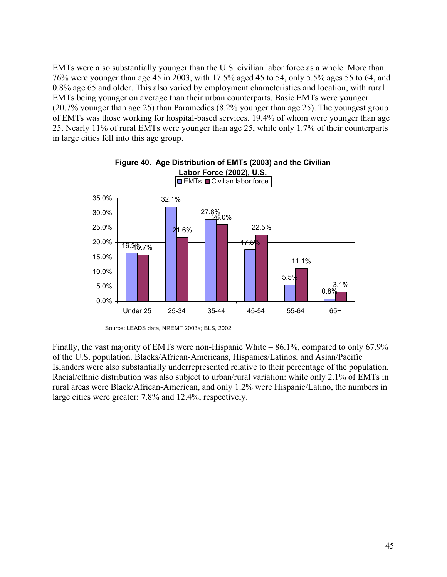EMTs were also substantially younger than the U.S. civilian labor force as a whole. More than 76% were younger than age 45 in 2003, with 17.5% aged 45 to 54, only 5.5% ages 55 to 64, and 0.8% age 65 and older. This also varied by employment characteristics and location, with rural EMTs being younger on average than their urban counterparts. Basic EMTs were younger (20.7% younger than age 25) than Paramedics (8.2% younger than age 25). The youngest group of EMTs was those working for hospital-based services, 19.4% of whom were younger than age 25. Nearly 11% of rural EMTs were younger than age 25, while only 1.7% of their counterparts in large cities fell into this age group.



Source: LEADS data, NREMT 2003a; BLS, 2002.

Finally, the vast majority of EMTs were non-Hispanic White – 86.1%, compared to only 67.9% of the U.S. population. Blacks/African-Americans, Hispanics/Latinos, and Asian/Pacific Islanders were also substantially underrepresented relative to their percentage of the population. Racial/ethnic distribution was also subject to urban/rural variation: while only 2.1% of EMTs in rural areas were Black/African-American, and only 1.2% were Hispanic/Latino, the numbers in large cities were greater: 7.8% and 12.4%, respectively.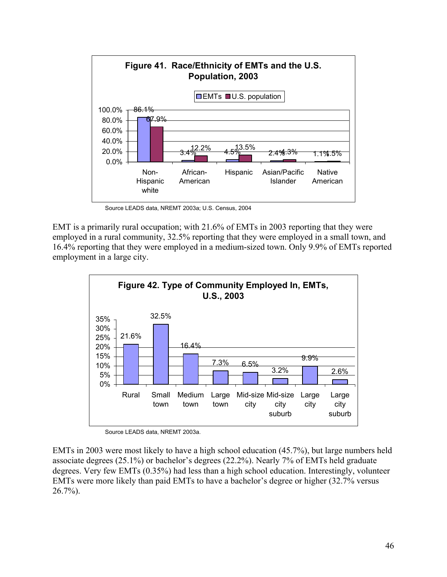

Source LEADS data, NREMT 2003a; U.S. Census, 2004

EMT is a primarily rural occupation; with 21.6% of EMTs in 2003 reporting that they were employed in a rural community, 32.5% reporting that they were employed in a small town, and 16.4% reporting that they were employed in a medium-sized town. Only 9.9% of EMTs reported employment in a large city.



Source LEADS data, NREMT 2003a.

EMTs in 2003 were most likely to have a high school education (45.7%), but large numbers held associate degrees (25.1%) or bachelor's degrees (22.2%). Nearly 7% of EMTs held graduate degrees. Very few EMTs (0.35%) had less than a high school education. Interestingly, volunteer EMTs were more likely than paid EMTs to have a bachelor's degree or higher (32.7% versus 26.7%).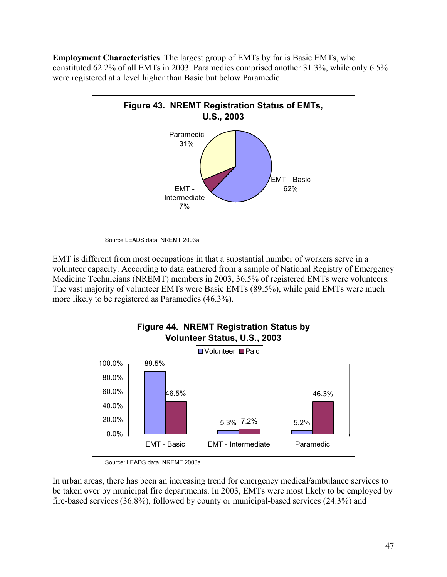**Employment Characteristics**. The largest group of EMTs by far is Basic EMTs, who constituted 62.2% of all EMTs in 2003. Paramedics comprised another 31.3%, while only 6.5% were registered at a level higher than Basic but below Paramedic.



Source LEADS data, NREMT 2003a

EMT is different from most occupations in that a substantial number of workers serve in a volunteer capacity. According to data gathered from a sample of National Registry of Emergency Medicine Technicians (NREMT) members in 2003, 36.5% of registered EMTs were volunteers. The vast majority of volunteer EMTs were Basic EMTs (89.5%), while paid EMTs were much more likely to be registered as Paramedics (46.3%).



Source: LEADS data, NREMT 2003a.

In urban areas, there has been an increasing trend for emergency medical/ambulance services to be taken over by municipal fire departments. In 2003, EMTs were most likely to be employed by fire-based services (36.8%), followed by county or municipal-based services (24.3%) and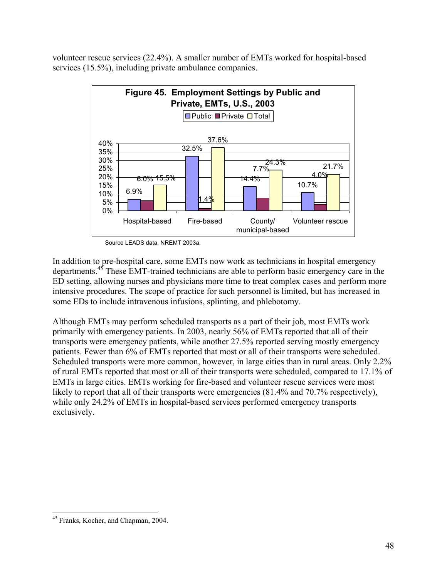volunteer rescue services (22.4%). A smaller number of EMTs worked for hospital-based services (15.5%), including private ambulance companies.



Source LEADS data, NREMT 2003a.

In addition to pre-hospital care, some EMTs now work as technicians in hospital emergency departments.45 These EMT-trained technicians are able to perform basic emergency care in the ED setting, allowing nurses and physicians more time to treat complex cases and perform more intensive procedures. The scope of practice for such personnel is limited, but has increased in some EDs to include intravenous infusions, splinting, and phlebotomy.

Although EMTs may perform scheduled transports as a part of their job, most EMTs work primarily with emergency patients. In 2003, nearly 56% of EMTs reported that all of their transports were emergency patients, while another 27.5% reported serving mostly emergency patients. Fewer than 6% of EMTs reported that most or all of their transports were scheduled. Scheduled transports were more common, however, in large cities than in rural areas. Only 2.2% of rural EMTs reported that most or all of their transports were scheduled, compared to 17.1% of EMTs in large cities. EMTs working for fire-based and volunteer rescue services were most likely to report that all of their transports were emergencies (81.4% and 70.7% respectively), while only 24.2% of EMTs in hospital-based services performed emergency transports exclusively.

 $\overline{a}$ 45 Franks, Kocher, and Chapman, 2004.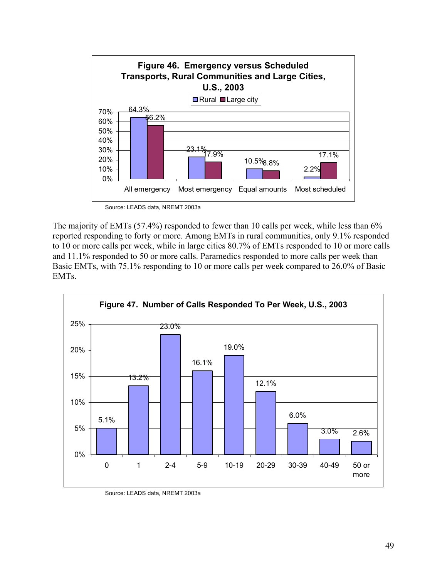

Source: LEADS data, NREMT 2003a

The majority of EMTs (57.4%) responded to fewer than 10 calls per week, while less than 6% reported responding to forty or more. Among EMTs in rural communities, only 9.1% responded to 10 or more calls per week, while in large cities 80.7% of EMTs responded to 10 or more calls and 11.1% responded to 50 or more calls. Paramedics responded to more calls per week than Basic EMTs, with 75.1% responding to 10 or more calls per week compared to 26.0% of Basic EMTs.



Source: LEADS data, NREMT 2003a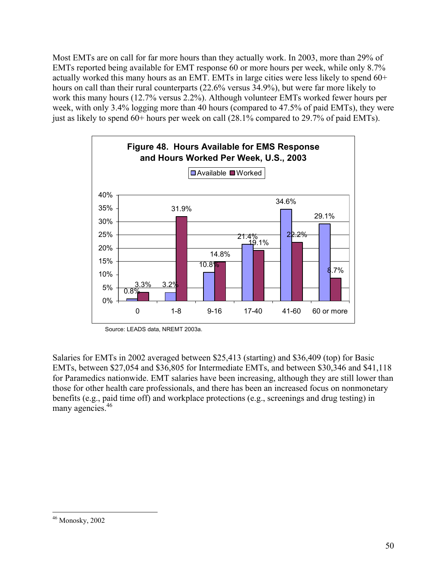Most EMTs are on call for far more hours than they actually work. In 2003, more than 29% of EMTs reported being available for EMT response 60 or more hours per week, while only 8.7% actually worked this many hours as an EMT. EMTs in large cities were less likely to spend 60+ hours on call than their rural counterparts (22.6% versus 34.9%), but were far more likely to work this many hours (12.7% versus 2.2%). Although volunteer EMTs worked fewer hours per week, with only 3.4% logging more than 40 hours (compared to 47.5% of paid EMTs), they were just as likely to spend 60+ hours per week on call (28.1% compared to 29.7% of paid EMTs).



Source: LEADS data, NREMT 2003a.

Salaries for EMTs in 2002 averaged between \$25,413 (starting) and \$36,409 (top) for Basic EMTs, between \$27,054 and \$36,805 for Intermediate EMTs, and between \$30,346 and \$41,118 for Paramedics nationwide. EMT salaries have been increasing, although they are still lower than those for other health care professionals, and there has been an increased focus on nonmonetary benefits (e.g., paid time off) and workplace protections (e.g., screenings and drug testing) in many agencies.<sup>46</sup>

 $\overline{a}$ 

<sup>46</sup> Monosky, 2002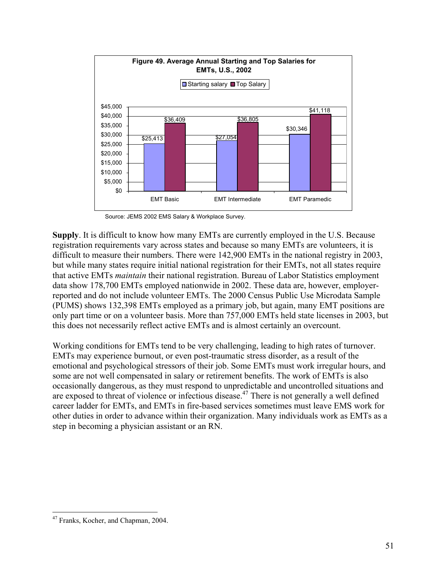

Source: JEMS 2002 EMS Salary & Workplace Survey.

**Supply**. It is difficult to know how many EMTs are currently employed in the U.S. Because registration requirements vary across states and because so many EMTs are volunteers, it is difficult to measure their numbers. There were 142,900 EMTs in the national registry in 2003, but while many states require initial national registration for their EMTs, not all states require that active EMTs *maintain* their national registration. Bureau of Labor Statistics employment data show 178,700 EMTs employed nationwide in 2002. These data are, however, employerreported and do not include volunteer EMTs. The 2000 Census Public Use Microdata Sample (PUMS) shows 132,398 EMTs employed as a primary job, but again, many EMT positions are only part time or on a volunteer basis. More than 757,000 EMTs held state licenses in 2003, but this does not necessarily reflect active EMTs and is almost certainly an overcount.

Working conditions for EMTs tend to be very challenging, leading to high rates of turnover. EMTs may experience burnout, or even post-traumatic stress disorder, as a result of the emotional and psychological stressors of their job. Some EMTs must work irregular hours, and some are not well compensated in salary or retirement benefits. The work of EMTs is also occasionally dangerous, as they must respond to unpredictable and uncontrolled situations and are exposed to threat of violence or infectious disease.<sup>47</sup> There is not generally a well defined career ladder for EMTs, and EMTs in fire-based services sometimes must leave EMS work for other duties in order to advance within their organization. Many individuals work as EMTs as a step in becoming a physician assistant or an RN.

 $\overline{a}$ 47 Franks, Kocher, and Chapman, 2004.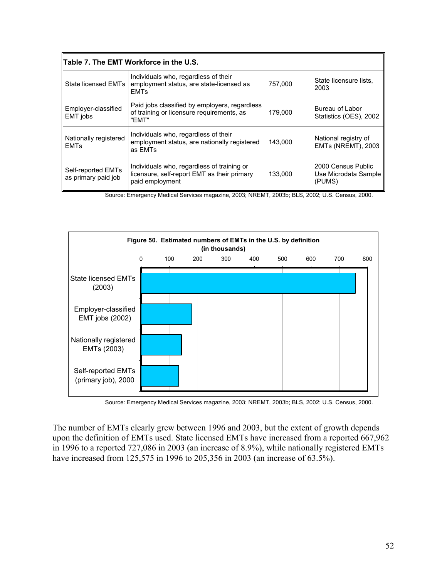| Table 7. The EMT Workforce in the U.S.    |                                                                                                              |         |                                                      |  |
|-------------------------------------------|--------------------------------------------------------------------------------------------------------------|---------|------------------------------------------------------|--|
| State licensed EMTs I                     | Individuals who, regardless of their<br>employment status, are state-licensed as<br><b>EMTs</b>              | 757.000 | State licensure lists,<br>2003                       |  |
| Employer-classified<br>EMT jobs           | Paid jobs classified by employers, regardless<br>of training or licensure requirements, as<br>"FMT"          | 179,000 | Bureau of Labor<br>Statistics (OES), 2002            |  |
| Nationally registered<br><b>EMTs</b>      | Individuals who, regardless of their<br>employment status, are nationally registered<br>as EMTs              | 143.000 | National registry of<br>EMTs (NREMT), 2003           |  |
| Self-reported EMTs<br>as primary paid job | Individuals who, regardless of training or<br>licensure, self-report EMT as their primary<br>paid employment | 133,000 | 2000 Census Public<br>Use Microdata Sample<br>(PUMS) |  |

Source: Emergency Medical Services magazine, 2003; NREMT, 2003b; BLS, 2002; U.S. Census, 2000.



Source: Emergency Medical Services magazine, 2003; NREMT, 2003b; BLS, 2002; U.S. Census, 2000.

The number of EMTs clearly grew between 1996 and 2003, but the extent of growth depends upon the definition of EMTs used. State licensed EMTs have increased from a reported 667,962 in 1996 to a reported 727,086 in 2003 (an increase of 8.9%), while nationally registered EMTs have increased from 125,575 in 1996 to 205,356 in 2003 (an increase of 63.5%).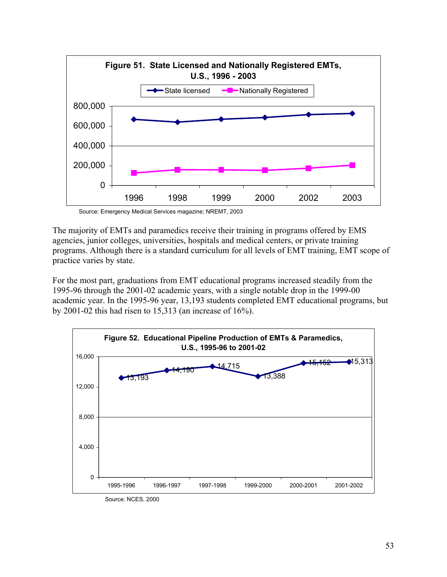

Source: Emergency Medical Services magazine; NREMT, 2003

The majority of EMTs and paramedics receive their training in programs offered by EMS agencies, junior colleges, universities, hospitals and medical centers, or private training programs. Although there is a standard curriculum for all levels of EMT training, EMT scope of practice varies by state.

For the most part, graduations from EMT educational programs increased steadily from the 1995-96 through the 2001-02 academic years, with a single notable drop in the 1999-00 academic year. In the 1995-96 year, 13,193 students completed EMT educational programs, but by 2001-02 this had risen to 15,313 (an increase of 16%).



Source: NCES, 2000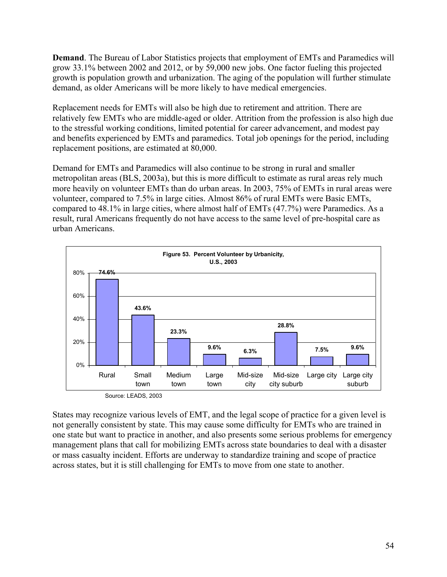**Demand**. The Bureau of Labor Statistics projects that employment of EMTs and Paramedics will grow 33.1% between 2002 and 2012, or by 59,000 new jobs. One factor fueling this projected growth is population growth and urbanization. The aging of the population will further stimulate demand, as older Americans will be more likely to have medical emergencies.

Replacement needs for EMTs will also be high due to retirement and attrition. There are relatively few EMTs who are middle-aged or older. Attrition from the profession is also high due to the stressful working conditions, limited potential for career advancement, and modest pay and benefits experienced by EMTs and paramedics. Total job openings for the period, including replacement positions, are estimated at 80,000.

Demand for EMTs and Paramedics will also continue to be strong in rural and smaller metropolitan areas (BLS, 2003a), but this is more difficult to estimate as rural areas rely much more heavily on volunteer EMTs than do urban areas. In 2003, 75% of EMTs in rural areas were volunteer, compared to 7.5% in large cities. Almost 86% of rural EMTs were Basic EMTs, compared to 48.1% in large cities, where almost half of EMTs (47.7%) were Paramedics. As a result, rural Americans frequently do not have access to the same level of pre-hospital care as urban Americans.



Source: LEADS, 2003

States may recognize various levels of EMT, and the legal scope of practice for a given level is not generally consistent by state. This may cause some difficulty for EMTs who are trained in one state but want to practice in another, and also presents some serious problems for emergency management plans that call for mobilizing EMTs across state boundaries to deal with a disaster or mass casualty incident. Efforts are underway to standardize training and scope of practice across states, but it is still challenging for EMTs to move from one state to another.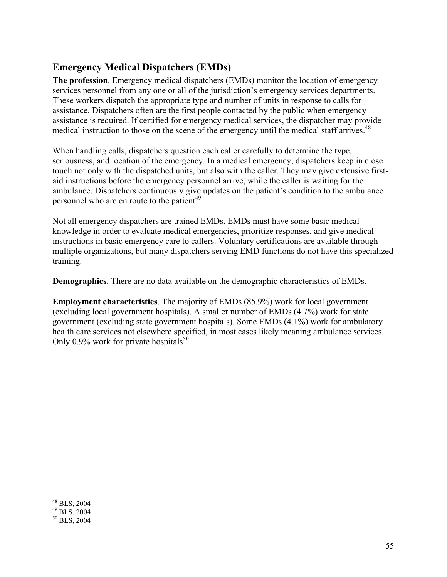### **Emergency Medical Dispatchers (EMDs)**

**The profession**. Emergency medical dispatchers (EMDs) monitor the location of emergency services personnel from any one or all of the jurisdiction's emergency services departments. These workers dispatch the appropriate type and number of units in response to calls for assistance. Dispatchers often are the first people contacted by the public when emergency assistance is required. If certified for emergency medical services, the dispatcher may provide medical instruction to those on the scene of the emergency until the medical staff arrives.<sup>48</sup>

When handling calls, dispatchers question each caller carefully to determine the type, seriousness, and location of the emergency. In a medical emergency, dispatchers keep in close touch not only with the dispatched units, but also with the caller. They may give extensive firstaid instructions before the emergency personnel arrive, while the caller is waiting for the ambulance. Dispatchers continuously give updates on the patient's condition to the ambulance personnel who are en route to the patient<sup>49</sup>.

Not all emergency dispatchers are trained EMDs. EMDs must have some basic medical knowledge in order to evaluate medical emergencies, prioritize responses, and give medical instructions in basic emergency care to callers. Voluntary certifications are available through multiple organizations, but many dispatchers serving EMD functions do not have this specialized training.

**Demographics**. There are no data available on the demographic characteristics of EMDs.

**Employment characteristics**. The majority of EMDs (85.9%) work for local government (excluding local government hospitals). A smaller number of EMDs (4.7%) work for state government (excluding state government hospitals). Some EMDs (4.1%) work for ambulatory health care services not elsewhere specified, in most cases likely meaning ambulance services. Only 0.9% work for private hospitals<sup>50</sup>.

 $\overline{a}$ 48 BLS, 2004

<sup>49</sup> BLS, 2004

<sup>50</sup> BLS, 2004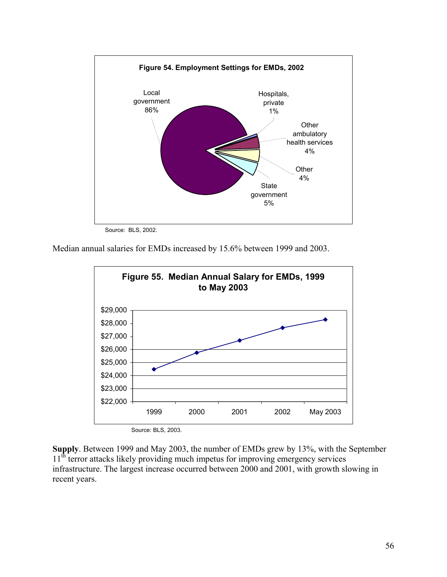

Source: BLS, 2002.

Median annual salaries for EMDs increased by 15.6% between 1999 and 2003.



Source: BLS, 2003.

**Supply**. Between 1999 and May 2003, the number of EMDs grew by 13%, with the September 11<sup>th</sup> terror attacks likely providing much impetus for improving emergency services infrastructure. The largest increase occurred between 2000 and 2001, with growth slowing in recent years.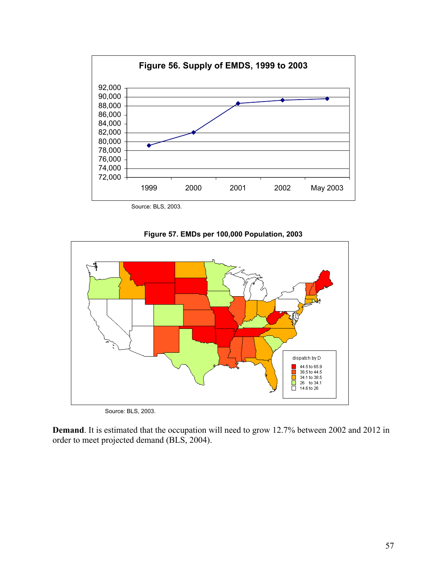

Source: BLS, 2003.





Source: BLS, 2003.

**Demand**. It is estimated that the occupation will need to grow 12.7% between 2002 and 2012 in order to meet projected demand (BLS, 2004).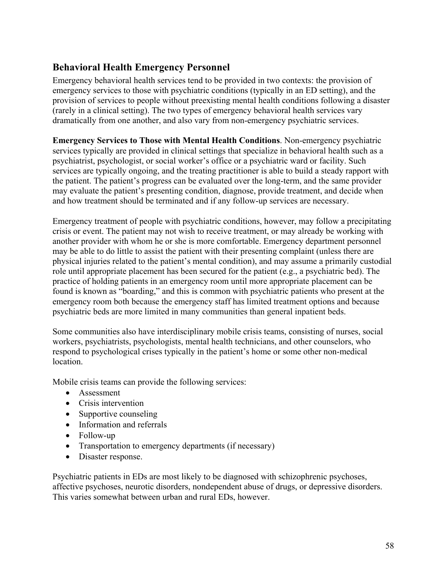#### **Behavioral Health Emergency Personnel**

Emergency behavioral health services tend to be provided in two contexts: the provision of emergency services to those with psychiatric conditions (typically in an ED setting), and the provision of services to people without preexisting mental health conditions following a disaster (rarely in a clinical setting). The two types of emergency behavioral health services vary dramatically from one another, and also vary from non-emergency psychiatric services.

**Emergency Services to Those with Mental Health Conditions**. Non-emergency psychiatric services typically are provided in clinical settings that specialize in behavioral health such as a psychiatrist, psychologist, or social worker's office or a psychiatric ward or facility. Such services are typically ongoing, and the treating practitioner is able to build a steady rapport with the patient. The patient's progress can be evaluated over the long-term, and the same provider may evaluate the patient's presenting condition, diagnose, provide treatment, and decide when and how treatment should be terminated and if any follow-up services are necessary.

Emergency treatment of people with psychiatric conditions, however, may follow a precipitating crisis or event. The patient may not wish to receive treatment, or may already be working with another provider with whom he or she is more comfortable. Emergency department personnel may be able to do little to assist the patient with their presenting complaint (unless there are physical injuries related to the patient's mental condition), and may assume a primarily custodial role until appropriate placement has been secured for the patient (e.g., a psychiatric bed). The practice of holding patients in an emergency room until more appropriate placement can be found is known as "boarding," and this is common with psychiatric patients who present at the emergency room both because the emergency staff has limited treatment options and because psychiatric beds are more limited in many communities than general inpatient beds.

Some communities also have interdisciplinary mobile crisis teams, consisting of nurses, social workers, psychiatrists, psychologists, mental health technicians, and other counselors, who respond to psychological crises typically in the patient's home or some other non-medical location.

Mobile crisis teams can provide the following services:

- Assessment
- Crisis intervention
- Supportive counseling
- Information and referrals
- Follow-up
- Transportation to emergency departments (if necessary)
- Disaster response.

Psychiatric patients in EDs are most likely to be diagnosed with schizophrenic psychoses, affective psychoses, neurotic disorders, nondependent abuse of drugs, or depressive disorders. This varies somewhat between urban and rural EDs, however.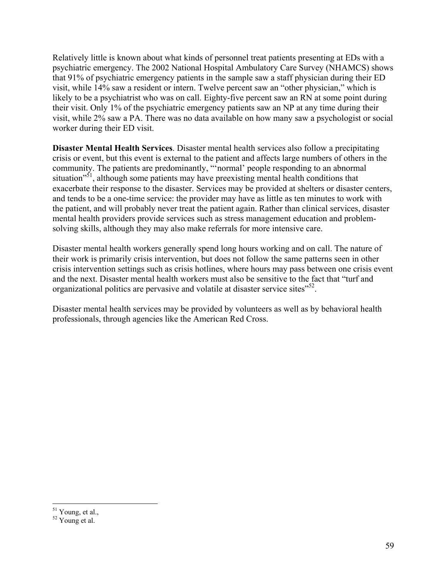Relatively little is known about what kinds of personnel treat patients presenting at EDs with a psychiatric emergency. The 2002 National Hospital Ambulatory Care Survey (NHAMCS) shows that 91% of psychiatric emergency patients in the sample saw a staff physician during their ED visit, while 14% saw a resident or intern. Twelve percent saw an "other physician," which is likely to be a psychiatrist who was on call. Eighty-five percent saw an RN at some point during their visit. Only 1% of the psychiatric emergency patients saw an NP at any time during their visit, while 2% saw a PA. There was no data available on how many saw a psychologist or social worker during their ED visit.

**Disaster Mental Health Services**. Disaster mental health services also follow a precipitating crisis or event, but this event is external to the patient and affects large numbers of others in the community. The patients are predominantly, "'normal' people responding to an abnormal situation<sup>"51</sup>, although some patients may have preexisting mental health conditions that exacerbate their response to the disaster. Services may be provided at shelters or disaster centers, and tends to be a one-time service: the provider may have as little as ten minutes to work with the patient, and will probably never treat the patient again. Rather than clinical services, disaster mental health providers provide services such as stress management education and problemsolving skills, although they may also make referrals for more intensive care.

Disaster mental health workers generally spend long hours working and on call. The nature of their work is primarily crisis intervention, but does not follow the same patterns seen in other crisis intervention settings such as crisis hotlines, where hours may pass between one crisis event and the next. Disaster mental health workers must also be sensitive to the fact that "turf and organizational politics are pervasive and volatile at disaster service sites<sup>552</sup>.

Disaster mental health services may be provided by volunteers as well as by behavioral health professionals, through agencies like the American Red Cross.

1

 $51$  Young, et al.,

 $52$  Young et al.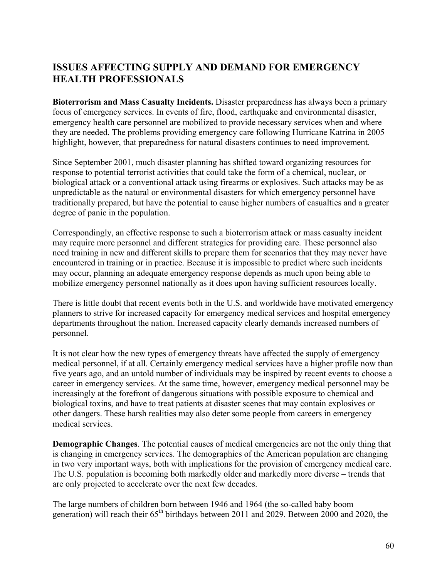## **ISSUES AFFECTING SUPPLY AND DEMAND FOR EMERGENCY HEALTH PROFESSIONALS**

**Bioterrorism and Mass Casualty Incidents.** Disaster preparedness has always been a primary focus of emergency services. In events of fire, flood, earthquake and environmental disaster, emergency health care personnel are mobilized to provide necessary services when and where they are needed. The problems providing emergency care following Hurricane Katrina in 2005 highlight, however, that preparedness for natural disasters continues to need improvement.

Since September 2001, much disaster planning has shifted toward organizing resources for response to potential terrorist activities that could take the form of a chemical, nuclear, or biological attack or a conventional attack using firearms or explosives. Such attacks may be as unpredictable as the natural or environmental disasters for which emergency personnel have traditionally prepared, but have the potential to cause higher numbers of casualties and a greater degree of panic in the population.

Correspondingly, an effective response to such a bioterrorism attack or mass casualty incident may require more personnel and different strategies for providing care. These personnel also need training in new and different skills to prepare them for scenarios that they may never have encountered in training or in practice. Because it is impossible to predict where such incidents may occur, planning an adequate emergency response depends as much upon being able to mobilize emergency personnel nationally as it does upon having sufficient resources locally.

There is little doubt that recent events both in the U.S. and worldwide have motivated emergency planners to strive for increased capacity for emergency medical services and hospital emergency departments throughout the nation. Increased capacity clearly demands increased numbers of personnel.

It is not clear how the new types of emergency threats have affected the supply of emergency medical personnel, if at all. Certainly emergency medical services have a higher profile now than five years ago, and an untold number of individuals may be inspired by recent events to choose a career in emergency services. At the same time, however, emergency medical personnel may be increasingly at the forefront of dangerous situations with possible exposure to chemical and biological toxins, and have to treat patients at disaster scenes that may contain explosives or other dangers. These harsh realities may also deter some people from careers in emergency medical services.

**Demographic Changes**. The potential causes of medical emergencies are not the only thing that is changing in emergency services. The demographics of the American population are changing in two very important ways, both with implications for the provision of emergency medical care. The U.S. population is becoming both markedly older and markedly more diverse – trends that are only projected to accelerate over the next few decades.

The large numbers of children born between 1946 and 1964 (the so-called baby boom generation) will reach their  $65<sup>th</sup>$  birthdays between 2011 and 2029. Between 2000 and 2020, the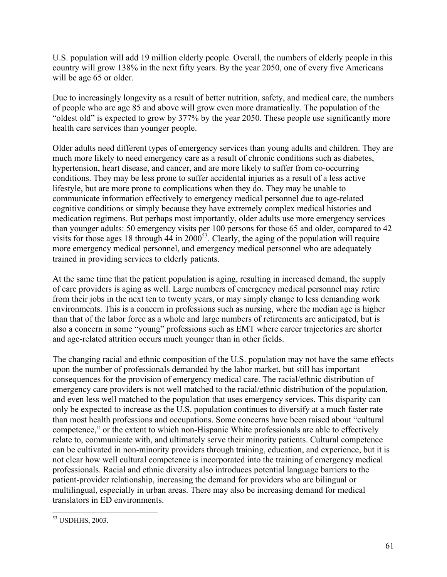U.S. population will add 19 million elderly people. Overall, the numbers of elderly people in this country will grow 138% in the next fifty years. By the year 2050, one of every five Americans will be age 65 or older.

Due to increasingly longevity as a result of better nutrition, safety, and medical care, the numbers of people who are age 85 and above will grow even more dramatically. The population of the "oldest old" is expected to grow by 377% by the year 2050. These people use significantly more health care services than younger people.

Older adults need different types of emergency services than young adults and children. They are much more likely to need emergency care as a result of chronic conditions such as diabetes, hypertension, heart disease, and cancer, and are more likely to suffer from co-occurring conditions. They may be less prone to suffer accidental injuries as a result of a less active lifestyle, but are more prone to complications when they do. They may be unable to communicate information effectively to emergency medical personnel due to age-related cognitive conditions or simply because they have extremely complex medical histories and medication regimens. But perhaps most importantly, older adults use more emergency services than younger adults: 50 emergency visits per 100 persons for those 65 and older, compared to 42 visits for those ages 18 through  $44$  in 2000<sup>53</sup>. Clearly, the aging of the population will require more emergency medical personnel, and emergency medical personnel who are adequately trained in providing services to elderly patients.

At the same time that the patient population is aging, resulting in increased demand, the supply of care providers is aging as well. Large numbers of emergency medical personnel may retire from their jobs in the next ten to twenty years, or may simply change to less demanding work environments. This is a concern in professions such as nursing, where the median age is higher than that of the labor force as a whole and large numbers of retirements are anticipated, but is also a concern in some "young" professions such as EMT where career trajectories are shorter and age-related attrition occurs much younger than in other fields.

The changing racial and ethnic composition of the U.S. population may not have the same effects upon the number of professionals demanded by the labor market, but still has important consequences for the provision of emergency medical care. The racial/ethnic distribution of emergency care providers is not well matched to the racial/ethnic distribution of the population, and even less well matched to the population that uses emergency services. This disparity can only be expected to increase as the U.S. population continues to diversify at a much faster rate than most health professions and occupations. Some concerns have been raised about "cultural competence," or the extent to which non-Hispanic White professionals are able to effectively relate to, communicate with, and ultimately serve their minority patients. Cultural competence can be cultivated in non-minority providers through training, education, and experience, but it is not clear how well cultural competence is incorporated into the training of emergency medical professionals. Racial and ethnic diversity also introduces potential language barriers to the patient-provider relationship, increasing the demand for providers who are bilingual or multilingual, especially in urban areas. There may also be increasing demand for medical translators in ED environments.

 $\overline{a}$ 53 USDHHS, 2003.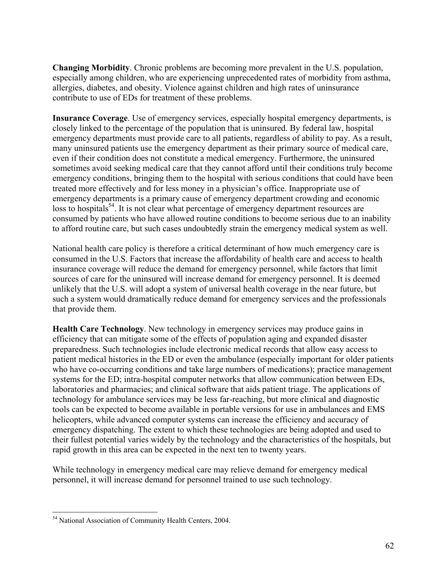**Changing Morbidity**. Chronic problems are becoming more prevalent in the U.S. population, especially among children, who are experiencing unprecedented rates of morbidity from asthma, allergies, diabetes, and obesity. Violence against children and high rates of uninsurance contribute to use of EDs for treatment of these problems.

**Insurance Coverage**. Use of emergency services, especially hospital emergency departments, is closely linked to the percentage of the population that is uninsured. By federal law, hospital emergency departments must provide care to all patients, regardless of ability to pay. As a result, many uninsured patients use the emergency department as their primary source of medical care, even if their condition does not constitute a medical emergency. Furthermore, the uninsured sometimes avoid seeking medical care that they cannot afford until their conditions truly become emergency conditions, bringing them to the hospital with serious conditions that could have been treated more effectively and for less money in a physician's office. Inappropriate use of emergency departments is a primary cause of emergency department crowding and economic loss to hospitals<sup>54</sup>. It is not clear what percentage of emergency department resources are consumed by patients who have allowed routine conditions to become serious due to an inability to afford routine care, but such cases undoubtedly strain the emergency medical system as well.

National health care policy is therefore a critical determinant of how much emergency care is consumed in the U.S. Factors that increase the affordability of health care and access to health insurance coverage will reduce the demand for emergency personnel, while factors that limit sources of care for the uninsured will increase demand for emergency personnel. It is deemed unlikely that the U.S. will adopt a system of universal health coverage in the near future, but such a system would dramatically reduce demand for emergency services and the professionals that provide them.

**Health Care Technology**. New technology in emergency services may produce gains in efficiency that can mitigate some of the effects of population aging and expanded disaster preparedness. Such technologies include electronic medical records that allow easy access to patient medical histories in the ED or even the ambulance (especially important for older patients who have co-occurring conditions and take large numbers of medications); practice management systems for the ED; intra-hospital computer networks that allow communication between EDs, laboratories and pharmacies; and clinical software that aids patient triage. The applications of technology for ambulance services may be less far-reaching, but more clinical and diagnostic tools can be expected to become available in portable versions for use in ambulances and EMS helicopters, while advanced computer systems can increase the efficiency and accuracy of emergency dispatching. The extent to which these technologies are being adopted and used to their fullest potential varies widely by the technology and the characteristics of the hospitals, but rapid growth in this area can be expected in the next ten to twenty years.

While technology in emergency medical care may relieve demand for emergency medical personnel, it will increase demand for personnel trained to use such technology.

 $\overline{a}$ 54 National Association of Community Health Centers, 2004.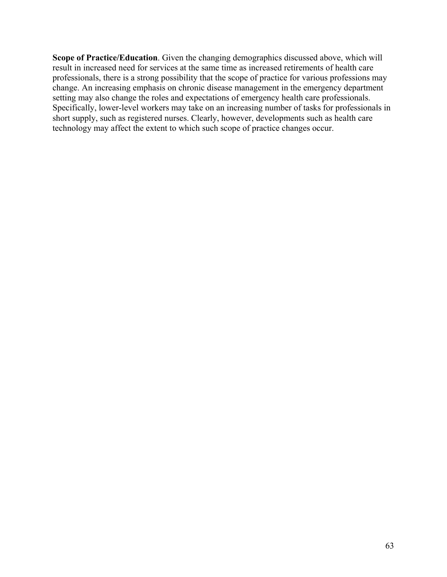**Scope of Practice/Education**. Given the changing demographics discussed above, which will result in increased need for services at the same time as increased retirements of health care professionals, there is a strong possibility that the scope of practice for various professions may change. An increasing emphasis on chronic disease management in the emergency department setting may also change the roles and expectations of emergency health care professionals. Specifically, lower-level workers may take on an increasing number of tasks for professionals in short supply, such as registered nurses. Clearly, however, developments such as health care technology may affect the extent to which such scope of practice changes occur.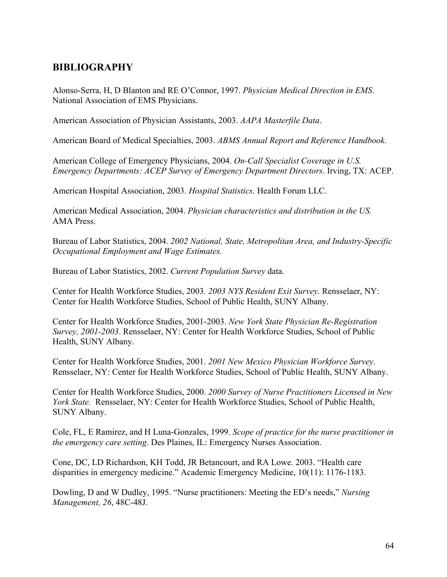#### **BIBLIOGRAPHY**

Alonso-Serra, H, D Blanton and RE O'Connor, 1997. *Physician Medical Direction in EMS*. National Association of EMS Physicians.

American Association of Physician Assistants, 2003. *AAPA Masterfile Data*.

American Board of Medical Specialties, 2003. *ABMS Annual Report and Reference Handbook*.

American College of Emergency Physicians, 2004. *On-Call Specialist Coverage in U.S. Emergency Departments: ACEP Survey of Emergency Department Directors*. Irving, TX: ACEP.

American Hospital Association, 2003. *Hospital Statistics*. Health Forum LLC.

American Medical Association, 2004. *Physician characteristics and distribution in the US.* AMA Press.

Bureau of Labor Statistics, 2004. *2002 National, State, Metropolitan Area, and Industry-Specific Occupational Employment and Wage Estimates.*

Bureau of Labor Statistics, 2002. *Current Population Survey* data.

Center for Health Workforce Studies, 2003*. 2003 NYS Resident Exit Survey*. Rensselaer, NY: Center for Health Workforce Studies, School of Public Health, SUNY Albany.

Center for Health Workforce Studies, 2001-2003. *New York State Physician Re-Registration Survey, 2001-2003*. Rensselaer, NY: Center for Health Workforce Studies, School of Public Health, SUNY Albany.

Center for Health Workforce Studies, 2001. *2001 New Mexico Physician Workforce Survey*. Rensselaer, NY: Center for Health Workforce Studies, School of Public Health, SUNY Albany.

Center for Health Workforce Studies, 2000. *2000 Survey of Nurse Practitioners Licensed in New York State.* Rensselaer, NY: Center for Health Workforce Studies, School of Public Health, SUNY Albany.

Cole, FL, E Ramirez, and H Luna-Gonzales, 1999. *Scope of practice for the nurse practitioner in the emergency care setting*. Des Plaines, IL: Emergency Nurses Association.

Cone, DC, LD Richardson, KH Todd, JR Betancourt, and RA Lowe. 2003. "Health care disparities in emergency medicine." Academic Emergency Medicine, 10(11): 1176-1183.

Dowling, D and W Dudley, 1995. "Nurse practitioners: Meeting the ED's needs," *Nursing Management, 26*, 48C-48J.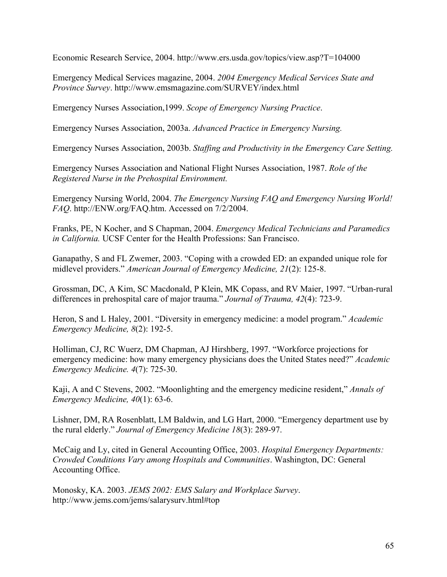Economic Research Service, 2004. http://www.ers.usda.gov/topics/view.asp?T=104000

Emergency Medical Services magazine, 2004. *2004 Emergency Medical Services State and Province Survey*. http://www.emsmagazine.com/SURVEY/index.html

Emergency Nurses Association,1999. *Scope of Emergency Nursing Practice*.

Emergency Nurses Association, 2003a. *Advanced Practice in Emergency Nursing.*

Emergency Nurses Association, 2003b. *Staffing and Productivity in the Emergency Care Setting.* 

Emergency Nurses Association and National Flight Nurses Association, 1987. *Role of the Registered Nurse in the Prehospital Environment.* 

Emergency Nursing World, 2004. *The Emergency Nursing FAQ and Emergency Nursing World! FAQ*. http://ENW.org/FAQ.htm. Accessed on 7/2/2004.

Franks, PE, N Kocher, and S Chapman, 2004. *Emergency Medical Technicians and Paramedics in California.* UCSF Center for the Health Professions: San Francisco.

Ganapathy, S and FL Zwemer, 2003. "Coping with a crowded ED: an expanded unique role for midlevel providers." *American Journal of Emergency Medicine, 21*(2): 125-8.

Grossman, DC, A Kim, SC Macdonald, P Klein, MK Copass, and RV Maier, 1997. "Urban-rural differences in prehospital care of major trauma." *Journal of Trauma, 42*(4): 723-9.

Heron, S and L Haley, 2001. "Diversity in emergency medicine: a model program." *Academic Emergency Medicine, 8*(2): 192-5.

Holliman, CJ, RC Wuerz, DM Chapman, AJ Hirshberg, 1997. "Workforce projections for emergency medicine: how many emergency physicians does the United States need?" *Academic Emergency Medicine. 4*(7): 725-30.

Kaji, A and C Stevens, 2002. "Moonlighting and the emergency medicine resident," *Annals of Emergency Medicine, 40*(1): 63-6.

Lishner, DM, RA Rosenblatt, LM Baldwin, and LG Hart, 2000. "Emergency department use by the rural elderly." *Journal of Emergency Medicine 18*(3): 289-97.

McCaig and Ly, cited in General Accounting Office, 2003. *Hospital Emergency Departments: Crowded Conditions Vary among Hospitals and Communities*. Washington, DC: General Accounting Office.

Monosky, KA. 2003. *JEMS 2002: EMS Salary and Workplace Survey*. http://www.jems.com/jems/salarysurv.html#top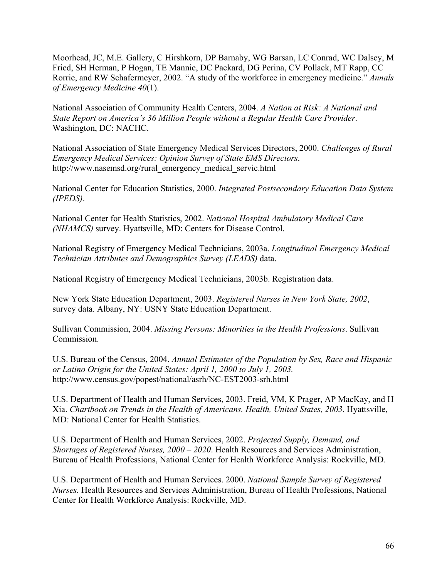Moorhead, JC, M.E. Gallery, C Hirshkorn, DP Barnaby, WG Barsan, LC Conrad, WC Dalsey, M Fried, SH Herman, P Hogan, TE Mannie, DC Packard, DG Perina, CV Pollack, MT Rapp, CC Rorrie, and RW Schafermeyer, 2002. "A study of the workforce in emergency medicine." *Annals of Emergency Medicine 40*(1).

National Association of Community Health Centers, 2004. *A Nation at Risk: A National and State Report on America's 36 Million People without a Regular Health Care Provider*. Washington, DC: NACHC.

National Association of State Emergency Medical Services Directors, 2000. *Challenges of Rural Emergency Medical Services: Opinion Survey of State EMS Directors*. http://www.nasemsd.org/rural\_emergency\_medical\_servic.html

National Center for Education Statistics, 2000. *Integrated Postsecondary Education Data System (IPEDS)*.

National Center for Health Statistics, 2002. *National Hospital Ambulatory Medical Care (NHAMCS)* survey. Hyattsville, MD: Centers for Disease Control.

National Registry of Emergency Medical Technicians, 2003a. *Longitudinal Emergency Medical Technician Attributes and Demographics Survey (LEADS)* data.

National Registry of Emergency Medical Technicians, 2003b. Registration data.

New York State Education Department, 2003. *Registered Nurses in New York State, 2002*, survey data. Albany, NY: USNY State Education Department.

Sullivan Commission, 2004. *Missing Persons: Minorities in the Health Professions*. Sullivan **Commission** 

U.S. Bureau of the Census, 2004. *Annual Estimates of the Population by Sex, Race and Hispanic or Latino Origin for the United States: April 1, 2000 to July 1, 2003.* http://www.census.gov/popest/national/asrh/NC-EST2003-srh.html

U.S. Department of Health and Human Services, 2003. Freid, VM, K Prager, AP MacKay, and H Xia. *Chartbook on Trends in the Health of Americans. Health, United States, 2003*. Hyattsville, MD: National Center for Health Statistics.

U.S. Department of Health and Human Services, 2002. *Projected Supply, Demand, and Shortages of Registered Nurses, 2000 – 2020*. Health Resources and Services Administration, Bureau of Health Professions, National Center for Health Workforce Analysis: Rockville, MD.

U.S. Department of Health and Human Services. 2000. *National Sample Survey of Registered Nurses.* Health Resources and Services Administration, Bureau of Health Professions, National Center for Health Workforce Analysis: Rockville, MD.